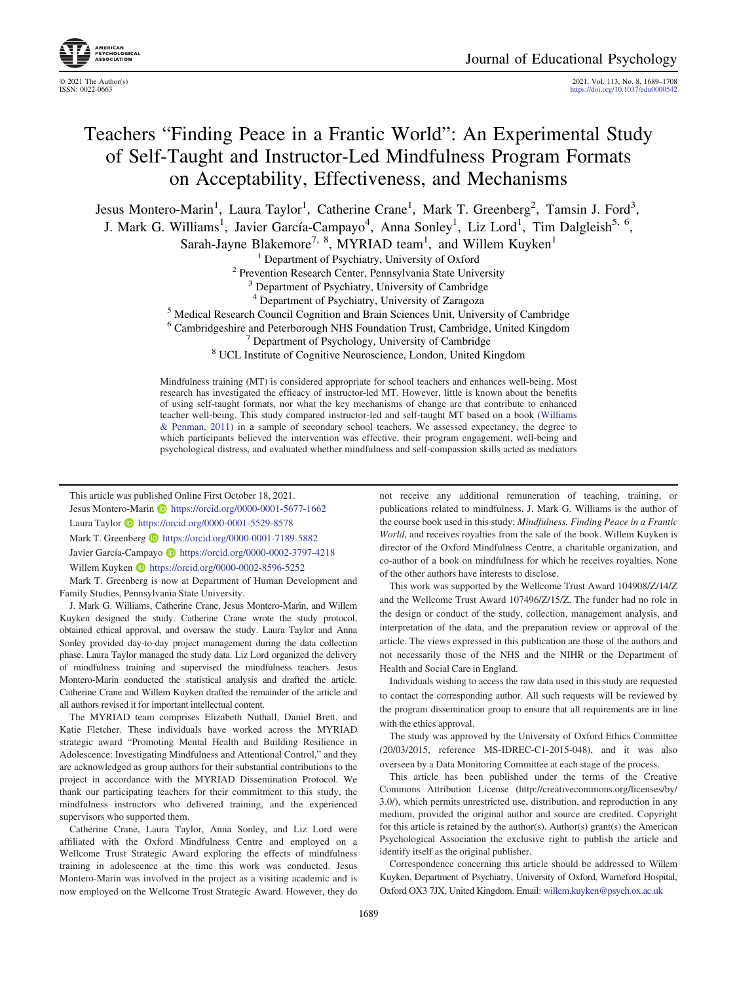© 2021 The Author(s) 2021, Vol. 113, No. 8, 1689–1708 <https://doi.org/10.1037/edu0000542>

# Teachers "Finding Peace in a Frantic World": An Experimental Study of Self-Taught and Instructor-Led Mindfulness Program Formats on Acceptability, Effectiveness, and Mechanisms

Jesus Montero-Marin<sup>1</sup>, Laura Taylor<sup>1</sup>, Catherine Crane<sup>1</sup>, Mark T. Greenberg<sup>2</sup>, Tamsin J. Ford<sup>3</sup>,

J. Mark G. Williams<sup>1</sup>, Javier García-Campayo<sup>4</sup>, Anna Sonley<sup>1</sup>, Liz Lord<sup>1</sup>, Tim Dalgleish<sup>5, 6</sup>,

Sarah-Jayne Blakemore<sup>7, 8</sup>, MYRIAD team<sup>1</sup>, and Willem Kuyken<sup>1</sup>

<sup>1</sup> Department of Psychiatry, University of Oxford <sup>2</sup> Prevention Research Center, Pennsylvania State University <sup>3</sup> Department of Psychiatry, University of Cambridge <sup>4</sup> Department of Psychiatry, University of Zaragoza

<sup>5</sup> Medical Research Council Cognition and Brain Sciences Unit, University of Cambridge

<sup>6</sup> Cambridgeshire and Peterborough NHS Foundation Trust, Cambridge, United Kingdom <sup>7</sup> Department of Psychology, University of Cambridge  $8$  UCL Institute of Cognitive Neuroscience, London, United Kingdom

Mindfulness training (MT) is considered appropriate for school teachers and enhances well-being. Most research has investigated the efficacy of instructor-led MT. However, little is known about the benefits of using self-taught formats, nor what the key mechanisms of change are that contribute to enhanced teacher well-being. This study compared instructor-led and self-taught MT based on a book ([Williams](#page-19-0) [& Penman, 2011\)](#page-19-0) in a sample of secondary school teachers. We assessed expectancy, the degree to which participants believed the intervention was effective, their program engagement, well-being and psychological distress, and evaluated whether mindfulness and self-compassion skills acted as mediators

This article was published Online First October 18, 2021. Jesus Montero-Marin **b** <https://orcid.org/0000-0001-5677-1662>

Laura Taylor <https://orcid.org/0000-0001-5529-8578>

Mark T. Greenberg **D** <https://orcid.org/0000-0001-7189-5882>

Javier García-Campayo D <https://orcid.org/0000-0002-3797-4218>

Willem Kuyken **b** <https://orcid.org/0000-0002-8596-5252>

Mark T. Greenberg is now at Department of Human Development and Family Studies, Pennsylvania State University.

J. Mark G. Williams, Catherine Crane, Jesus Montero-Marin, and Willem Kuyken designed the study. Catherine Crane wrote the study protocol, obtained ethical approval, and oversaw the study. Laura Taylor and Anna Sonley provided day-to-day project management during the data collection phase. Laura Taylor managed the study data. Liz Lord organized the delivery of mindfulness training and supervised the mindfulness teachers. Jesus Montero-Marin conducted the statistical analysis and drafted the article. Catherine Crane and Willem Kuyken drafted the remainder of the article and all authors revised it for important intellectual content.

The MYRIAD team comprises Elizabeth Nuthall, Daniel Brett, and Katie Fletcher. These individuals have worked across the MYRIAD strategic award "Promoting Mental Health and Building Resilience in Adolescence: Investigating Mindfulness and Attentional Control," and they are acknowledged as group authors for their substantial contributions to the project in accordance with the MYRIAD Dissemination Protocol. We thank our participating teachers for their commitment to this study, the mindfulness instructors who delivered training, and the experienced supervisors who supported them.

Catherine Crane, Laura Taylor, Anna Sonley, and Liz Lord were affiliated with the Oxford Mindfulness Centre and employed on a Wellcome Trust Strategic Award exploring the effects of mindfulness training in adolescence at the time this work was conducted. Jesus Montero-Marin was involved in the project as a visiting academic and is now employed on the Wellcome Trust Strategic Award. However, they do

not receive any additional remuneration of teaching, training, or publications related to mindfulness. J. Mark G. Williams is the author of the course book used in this study: Mindfulness, Finding Peace in a Frantic World, and receives royalties from the sale of the book. Willem Kuyken is director of the Oxford Mindfulness Centre, a charitable organization, and co-author of a book on mindfulness for which he receives royalties. None of the other authors have interests to disclose.

This work was supported by the Wellcome Trust Award 104908/Z/14/Z and the Wellcome Trust Award 107496/Z/15/Z. The funder had no role in the design or conduct of the study, collection, management analysis, and interpretation of the data, and the preparation review or approval of the article. The views expressed in this publication are those of the authors and not necessarily those of the NHS and the NIHR or the Department of Health and Social Care in England.

Individuals wishing to access the raw data used in this study are requested to contact the corresponding author. All such requests will be reviewed by the program dissemination group to ensure that all requirements are in line with the ethics approval.

The study was approved by the University of Oxford Ethics Committee (20/03/2015, reference MS-IDREC-C1-2015-048), and it was also overseen by a Data Monitoring Committee at each stage of the process.

This article has been published under the terms of the Creative Commons Attribution License (http://creativecommons.org/licenses/by/ 3.0/), which permits unrestricted use, distribution, and reproduction in any medium, provided the original author and source are credited. Copyright for this article is retained by the author(s). Author(s) grant(s) the American Psychological Association the exclusive right to publish the article and identify itself as the original publisher.

Correspondence concerning this article should be addressed to Willem Kuyken, Department of Psychiatry, University of Oxford, Warneford Hospital, Oxford OX3 7JX, United Kingdom. Email: [willem.kuyken@psych.ox.ac.uk](mailto:willem.kuyken@psych.ox.ac.uk)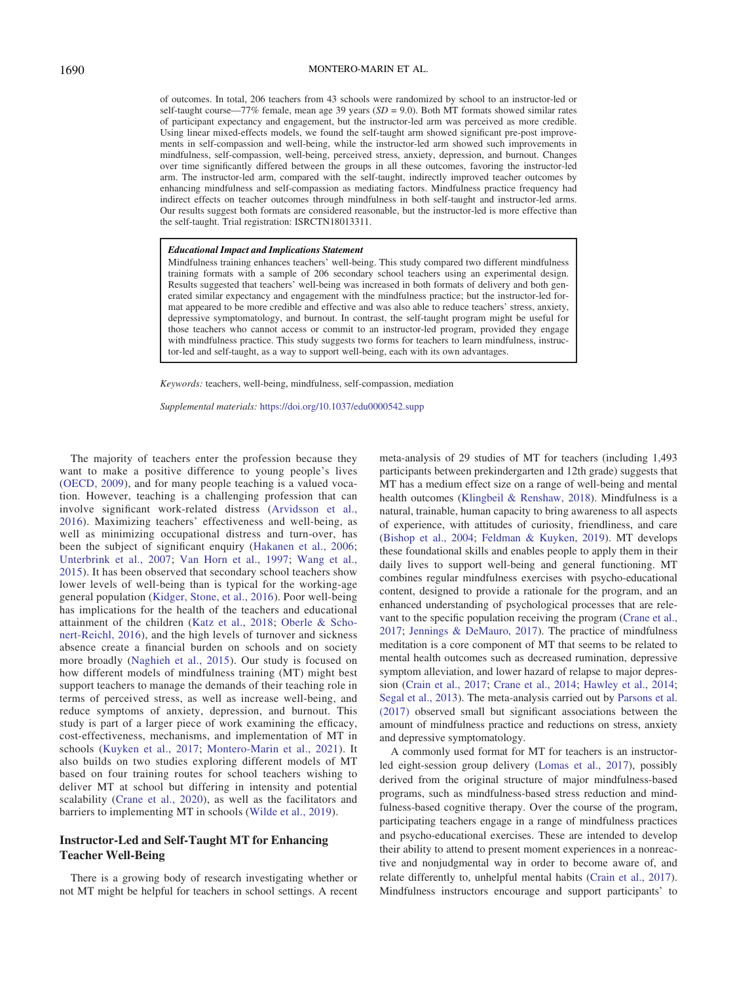#### 1690 MONTERO-MARIN ET AL.

of outcomes. In total, 206 teachers from 43 schools were randomized by school to an instructor-led or self-taught course—77% female, mean age 39 years ( $SD = 9.0$ ). Both MT formats showed similar rates of participant expectancy and engagement, but the instructor-led arm was perceived as more credible. Using linear mixed-effects models, we found the self-taught arm showed significant pre-post improvements in self-compassion and well-being, while the instructor-led arm showed such improvements in mindfulness, self-compassion, well-being, perceived stress, anxiety, depression, and burnout. Changes over time significantly differed between the groups in all these outcomes, favoring the instructor-led arm. The instructor-led arm, compared with the self-taught, indirectly improved teacher outcomes by enhancing mindfulness and self-compassion as mediating factors. Mindfulness practice frequency had indirect effects on teacher outcomes through mindfulness in both self-taught and instructor-led arms. Our results suggest both formats are considered reasonable, but the instructor-led is more effective than the self-taught. Trial registration: ISRCTN18013311.

#### Educational Impact and Implications Statement

Mindfulness training enhances teachers' well-being. This study compared two different mindfulness training formats with a sample of 206 secondary school teachers using an experimental design. Results suggested that teachers' well-being was increased in both formats of delivery and both generated similar expectancy and engagement with the mindfulness practice; but the instructor-led format appeared to be more credible and effective and was also able to reduce teachers' stress, anxiety, depressive symptomatology, and burnout. In contrast, the self-taught program might be useful for those teachers who cannot access or commit to an instructor-led program, provided they engage with mindfulness practice. This study suggests two forms for teachers to learn mindfulness, instructor-led and self-taught, as a way to support well-being, each with its own advantages.

Keywords: teachers, well-being, mindfulness, self-compassion, mediation

Supplemental materials: <https://doi.org/10.1037/edu0000542.supp>

The majority of teachers enter the profession because they want to make a positive difference to young people's lives [\(OECD, 2009](#page-18-0)), and for many people teaching is a valued vocation. However, teaching is a challenging profession that can involve significant work-related distress ([Arvidsson et al.,](#page-15-0) [2016\)](#page-15-0). Maximizing teachers' effectiveness and well-being, as well as minimizing occupational distress and turn-over, has been the subject of significant enquiry [\(Hakanen et al., 2006;](#page-16-0) [Unterbrink et al., 2007](#page-18-1); [Van Horn et al., 1997;](#page-18-2) [Wang et al.,](#page-19-1) [2015\)](#page-19-1). It has been observed that secondary school teachers show lower levels of well-being than is typical for the working-age general population ([Kidger, Stone, et al., 2016\)](#page-17-0). Poor well-being has implications for the health of the teachers and educational attainment of the children ([Katz et al., 2018](#page-16-1); [Oberle & Scho](#page-17-1)[nert-Reichl, 2016\)](#page-17-1), and the high levels of turnover and sickness absence create a financial burden on schools and on society more broadly ([Naghieh et al., 2015](#page-17-2)). Our study is focused on how different models of mindfulness training (MT) might best support teachers to manage the demands of their teaching role in terms of perceived stress, as well as increase well-being, and reduce symptoms of anxiety, depression, and burnout. This study is part of a larger piece of work examining the efficacy, cost-effectiveness, mechanisms, and implementation of MT in schools ([Kuyken et al., 2017](#page-17-3); [Montero-Marin et al., 2021](#page-17-4)). It also builds on two studies exploring different models of MT based on four training routes for school teachers wishing to deliver MT at school but differing in intensity and potential scalability [\(Crane et al., 2020\)](#page-16-2), as well as the facilitators and barriers to implementing MT in schools ([Wilde et al., 2019](#page-19-2)).

# Instructor-Led and Self-Taught MT for Enhancing Teacher Well-Being

There is a growing body of research investigating whether or not MT might be helpful for teachers in school settings. A recent

meta-analysis of 29 studies of MT for teachers (including 1,493 participants between prekindergarten and 12th grade) suggests that MT has a medium effect size on a range of well-being and mental health outcomes ([Klingbeil & Renshaw, 2018\)](#page-17-5). Mindfulness is a natural, trainable, human capacity to bring awareness to all aspects of experience, with attitudes of curiosity, friendliness, and care ([Bishop et al., 2004;](#page-15-1) [Feldman & Kuyken, 2019](#page-16-3)). MT develops these foundational skills and enables people to apply them in their daily lives to support well-being and general functioning. MT combines regular mindfulness exercises with psycho-educational content, designed to provide a rationale for the program, and an enhanced understanding of psychological processes that are relevant to the specific population receiving the program [\(Crane et al.,](#page-16-4) [2017](#page-16-4); [Jennings & DeMauro, 2017](#page-16-5)). The practice of mindfulness meditation is a core component of MT that seems to be related to mental health outcomes such as decreased rumination, depressive symptom alleviation, and lower hazard of relapse to major depression [\(Crain et al., 2017](#page-16-6); [Crane et al., 2014;](#page-16-7) [Hawley et al., 2014](#page-16-8); [Segal et al., 2013\)](#page-18-3). The meta-analysis carried out by [Parsons et al.](#page-18-4) [\(2017\)](#page-18-4) observed small but significant associations between the amount of mindfulness practice and reductions on stress, anxiety and depressive symptomatology.

A commonly used format for MT for teachers is an instructorled eight-session group delivery [\(Lomas et al., 2017\)](#page-17-6), possibly derived from the original structure of major mindfulness-based programs, such as mindfulness-based stress reduction and mindfulness-based cognitive therapy. Over the course of the program, participating teachers engage in a range of mindfulness practices and psycho-educational exercises. These are intended to develop their ability to attend to present moment experiences in a nonreactive and nonjudgmental way in order to become aware of, and relate differently to, unhelpful mental habits ([Crain et al., 2017\)](#page-16-6). Mindfulness instructors encourage and support participants' to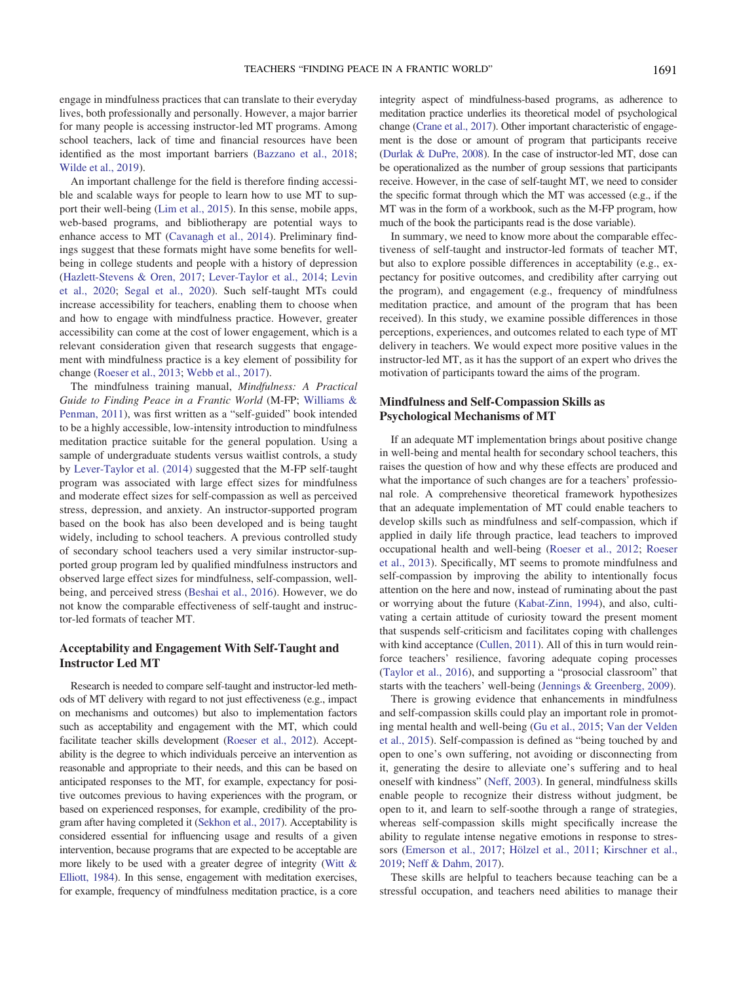engage in mindfulness practices that can translate to their everyday lives, both professionally and personally. However, a major barrier for many people is accessing instructor-led MT programs. Among school teachers, lack of time and financial resources have been identified as the most important barriers [\(Bazzano et al., 2018;](#page-15-2) [Wilde et al., 2019](#page-19-2)).

An important challenge for the field is therefore finding accessible and scalable ways for people to learn how to use MT to support their well-being [\(Lim et al., 2015](#page-17-7)). In this sense, mobile apps, web-based programs, and bibliotherapy are potential ways to enhance access to MT [\(Cavanagh et al., 2014](#page-15-3)). Preliminary findings suggest that these formats might have some benefits for wellbeing in college students and people with a history of depression [\(Hazlett-Stevens & Oren, 2017;](#page-16-9) [Lever-Taylor et al., 2014](#page-17-8); [Levin](#page-17-9) [et al., 2020](#page-17-9); [Segal et al., 2020](#page-18-5)). Such self-taught MTs could increase accessibility for teachers, enabling them to choose when and how to engage with mindfulness practice. However, greater accessibility can come at the cost of lower engagement, which is a relevant consideration given that research suggests that engagement with mindfulness practice is a key element of possibility for change ([Roeser et al., 2013;](#page-18-6) [Webb et al., 2017\)](#page-19-3).

The mindfulness training manual, Mindfulness: A Practical Guide to Finding Peace in a Frantic World (M-FP; [Williams &](#page-19-0) [Penman, 2011\)](#page-19-0), was first written as a "self-guided" book intended to be a highly accessible, low-intensity introduction to mindfulness meditation practice suitable for the general population. Using a sample of undergraduate students versus waitlist controls, a study by [Lever-Taylor et al. \(2014\)](#page-17-8) suggested that the M-FP self-taught program was associated with large effect sizes for mindfulness and moderate effect sizes for self-compassion as well as perceived stress, depression, and anxiety. An instructor-supported program based on the book has also been developed and is being taught widely, including to school teachers. A previous controlled study of secondary school teachers used a very similar instructor-supported group program led by qualified mindfulness instructors and observed large effect sizes for mindfulness, self-compassion, wellbeing, and perceived stress ([Beshai et al., 2016\)](#page-15-4). However, we do not know the comparable effectiveness of self-taught and instructor-led formats of teacher MT.

# Acceptability and Engagement With Self-Taught and Instructor Led MT

Research is needed to compare self-taught and instructor-led methods of MT delivery with regard to not just effectiveness (e.g., impact on mechanisms and outcomes) but also to implementation factors such as acceptability and engagement with the MT, which could facilitate teacher skills development [\(Roeser et al., 2012\)](#page-18-7). Acceptability is the degree to which individuals perceive an intervention as reasonable and appropriate to their needs, and this can be based on anticipated responses to the MT, for example, expectancy for positive outcomes previous to having experiences with the program, or based on experienced responses, for example, credibility of the program after having completed it ([Sekhon et al., 2017](#page-18-8)). Acceptability is considered essential for influencing usage and results of a given intervention, because programs that are expected to be acceptable are more likely to be used with a greater degree of integrity [\(Witt &](#page-19-4) [Elliott, 1984](#page-19-4)). In this sense, engagement with meditation exercises, for example, frequency of mindfulness meditation practice, is a core

integrity aspect of mindfulness-based programs, as adherence to meditation practice underlies its theoretical model of psychological change ([Crane et al., 2017\)](#page-16-4). Other important characteristic of engagement is the dose or amount of program that participants receive ([Durlak & DuPre, 2008\)](#page-16-10). In the case of instructor-led MT, dose can be operationalized as the number of group sessions that participants receive. However, in the case of self-taught MT, we need to consider the specific format through which the MT was accessed (e.g., if the MT was in the form of a workbook, such as the M-FP program, how much of the book the participants read is the dose variable).

In summary, we need to know more about the comparable effectiveness of self-taught and instructor-led formats of teacher MT, but also to explore possible differences in acceptability (e.g., expectancy for positive outcomes, and credibility after carrying out the program), and engagement (e.g., frequency of mindfulness meditation practice, and amount of the program that has been received). In this study, we examine possible differences in those perceptions, experiences, and outcomes related to each type of MT delivery in teachers. We would expect more positive values in the instructor-led MT, as it has the support of an expert who drives the motivation of participants toward the aims of the program.

# Mindfulness and Self-Compassion Skills as Psychological Mechanisms of MT

If an adequate MT implementation brings about positive change in well-being and mental health for secondary school teachers, this raises the question of how and why these effects are produced and what the importance of such changes are for a teachers' professional role. A comprehensive theoretical framework hypothesizes that an adequate implementation of MT could enable teachers to develop skills such as mindfulness and self-compassion, which if applied in daily life through practice, lead teachers to improved occupational health and well-being [\(Roeser et al., 2012;](#page-18-7) [Roeser](#page-18-6) [et al., 2013](#page-18-6)). Specifically, MT seems to promote mindfulness and self-compassion by improving the ability to intentionally focus attention on the here and now, instead of ruminating about the past or worrying about the future ([Kabat-Zinn, 1994\)](#page-16-11), and also, cultivating a certain attitude of curiosity toward the present moment that suspends self-criticism and facilitates coping with challenges with kind acceptance ([Cullen, 2011\)](#page-16-12). All of this in turn would reinforce teachers' resilience, favoring adequate coping processes ([Taylor et al., 2016](#page-18-9)), and supporting a "prosocial classroom" that starts with the teachers' well-being ([Jennings & Greenberg, 2009\)](#page-16-13).

There is growing evidence that enhancements in mindfulness and self-compassion skills could play an important role in promoting mental health and well-being [\(Gu et al., 2015;](#page-16-14) [Van der Velden](#page-18-10) [et al., 2015\)](#page-18-10). Self-compassion is defined as "being touched by and open to one's own suffering, not avoiding or disconnecting from it, generating the desire to alleviate one's suffering and to heal oneself with kindness" [\(Neff, 2003](#page-17-10)). In general, mindfulness skills enable people to recognize their distress without judgment, be open to it, and learn to self-soothe through a range of strategies, whereas self-compassion skills might specifically increase the ability to regulate intense negative emotions in response to stressors ([Emerson et al., 2017;](#page-16-15) [Hölzel et al., 2011](#page-16-16); [Kirschner et al.,](#page-17-11) [2019;](#page-17-11) [Neff & Dahm, 2017](#page-17-12)).

These skills are helpful to teachers because teaching can be a stressful occupation, and teachers need abilities to manage their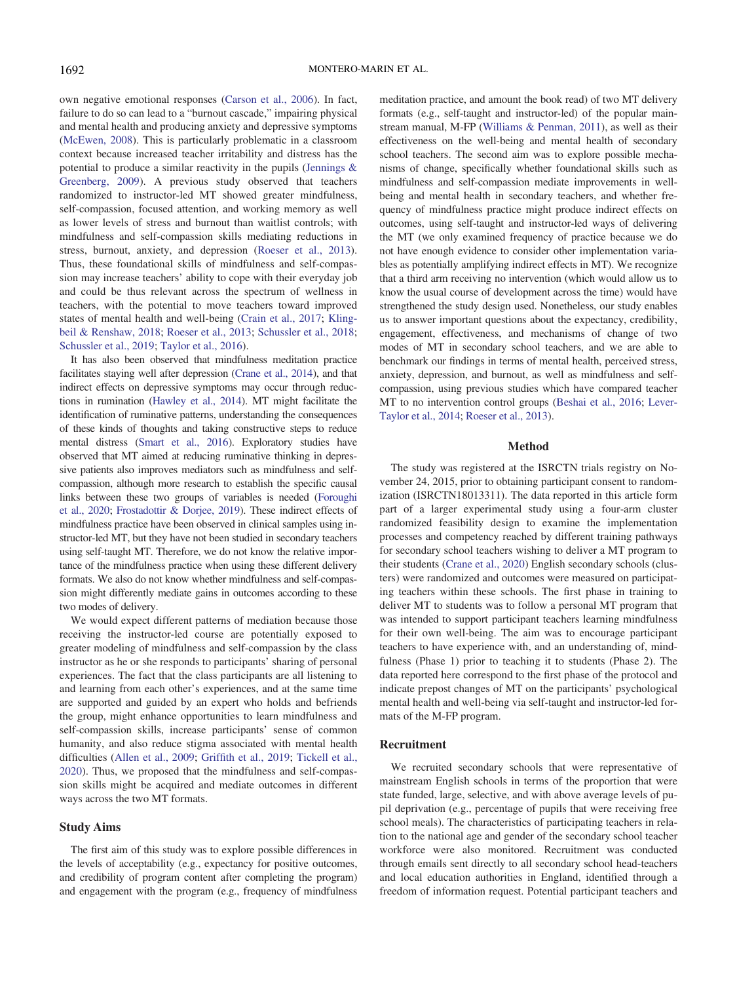own negative emotional responses [\(Carson et al., 2006\)](#page-15-5). In fact, failure to do so can lead to a "burnout cascade," impairing physical and mental health and producing anxiety and depressive symptoms [\(McEwen, 2008\)](#page-17-13). This is particularly problematic in a classroom context because increased teacher irritability and distress has the potential to produce a similar reactivity in the pupils ([Jennings &](#page-16-13) [Greenberg, 2009](#page-16-13)). A previous study observed that teachers randomized to instructor-led MT showed greater mindfulness, self-compassion, focused attention, and working memory as well as lower levels of stress and burnout than waitlist controls; with mindfulness and self-compassion skills mediating reductions in stress, burnout, anxiety, and depression ([Roeser et al., 2013\)](#page-18-6). Thus, these foundational skills of mindfulness and self-compassion may increase teachers' ability to cope with their everyday job and could be thus relevant across the spectrum of wellness in teachers, with the potential to move teachers toward improved states of mental health and well-being [\(Crain et al., 2017;](#page-16-6) [Kling](#page-17-5)[beil & Renshaw, 2018](#page-17-5); [Roeser et al., 2013;](#page-18-6) [Schussler et al., 2018;](#page-18-11) [Schussler et al., 2019](#page-18-12); [Taylor et al., 2016](#page-18-9)).

It has also been observed that mindfulness meditation practice facilitates staying well after depression [\(Crane et al., 2014](#page-16-7)), and that indirect effects on depressive symptoms may occur through reductions in rumination [\(Hawley et al., 2014\)](#page-16-8). MT might facilitate the identification of ruminative patterns, understanding the consequences of these kinds of thoughts and taking constructive steps to reduce mental distress ([Smart et al., 2016](#page-18-13)). Exploratory studies have observed that MT aimed at reducing ruminative thinking in depressive patients also improves mediators such as mindfulness and selfcompassion, although more research to establish the specific causal links between these two groups of variables is needed [\(Foroughi](#page-16-17) [et al., 2020](#page-16-17); [Frostadottir & Dorjee, 2019](#page-16-18)). These indirect effects of mindfulness practice have been observed in clinical samples using instructor-led MT, but they have not been studied in secondary teachers using self-taught MT. Therefore, we do not know the relative importance of the mindfulness practice when using these different delivery formats. We also do not know whether mindfulness and self-compassion might differently mediate gains in outcomes according to these two modes of delivery.

We would expect different patterns of mediation because those receiving the instructor-led course are potentially exposed to greater modeling of mindfulness and self-compassion by the class instructor as he or she responds to participants' sharing of personal experiences. The fact that the class participants are all listening to and learning from each other's experiences, and at the same time are supported and guided by an expert who holds and befriends the group, might enhance opportunities to learn mindfulness and self-compassion skills, increase participants' sense of common humanity, and also reduce stigma associated with mental health difficulties [\(Allen et al., 2009;](#page-15-6) Griffi[th et al., 2019;](#page-16-19) [Tickell et al.,](#page-18-14) [2020](#page-18-14)). Thus, we proposed that the mindfulness and self-compassion skills might be acquired and mediate outcomes in different ways across the two MT formats.

#### Study Aims

The first aim of this study was to explore possible differences in the levels of acceptability (e.g., expectancy for positive outcomes, and credibility of program content after completing the program) and engagement with the program (e.g., frequency of mindfulness meditation practice, and amount the book read) of two MT delivery formats (e.g., self-taught and instructor-led) of the popular mainstream manual, M-FP [\(Williams & Penman, 2011](#page-19-0)), as well as their effectiveness on the well-being and mental health of secondary school teachers. The second aim was to explore possible mechanisms of change, specifically whether foundational skills such as mindfulness and self-compassion mediate improvements in wellbeing and mental health in secondary teachers, and whether frequency of mindfulness practice might produce indirect effects on outcomes, using self-taught and instructor-led ways of delivering the MT (we only examined frequency of practice because we do not have enough evidence to consider other implementation variables as potentially amplifying indirect effects in MT). We recognize that a third arm receiving no intervention (which would allow us to know the usual course of development across the time) would have strengthened the study design used. Nonetheless, our study enables us to answer important questions about the expectancy, credibility, engagement, effectiveness, and mechanisms of change of two modes of MT in secondary school teachers, and we are able to benchmark our findings in terms of mental health, perceived stress, anxiety, depression, and burnout, as well as mindfulness and selfcompassion, using previous studies which have compared teacher MT to no intervention control groups [\(Beshai et al., 2016;](#page-15-4) [Lever-](#page-17-8)[Taylor et al., 2014;](#page-17-8) [Roeser et al., 2013](#page-18-6)).

# Method

The study was registered at the ISRCTN trials registry on November 24, 2015, prior to obtaining participant consent to randomization (ISRCTN18013311). The data reported in this article form part of a larger experimental study using a four-arm cluster randomized feasibility design to examine the implementation processes and competency reached by different training pathways for secondary school teachers wishing to deliver a MT program to their students [\(Crane et al., 2020\)](#page-16-2) English secondary schools (clusters) were randomized and outcomes were measured on participating teachers within these schools. The first phase in training to deliver MT to students was to follow a personal MT program that was intended to support participant teachers learning mindfulness for their own well-being. The aim was to encourage participant teachers to have experience with, and an understanding of, mindfulness (Phase 1) prior to teaching it to students (Phase 2). The data reported here correspond to the first phase of the protocol and indicate prepost changes of MT on the participants' psychological mental health and well-being via self-taught and instructor-led formats of the M-FP program.

# Recruitment

We recruited secondary schools that were representative of mainstream English schools in terms of the proportion that were state funded, large, selective, and with above average levels of pupil deprivation (e.g., percentage of pupils that were receiving free school meals). The characteristics of participating teachers in relation to the national age and gender of the secondary school teacher workforce were also monitored. Recruitment was conducted through emails sent directly to all secondary school head-teachers and local education authorities in England, identified through a freedom of information request. Potential participant teachers and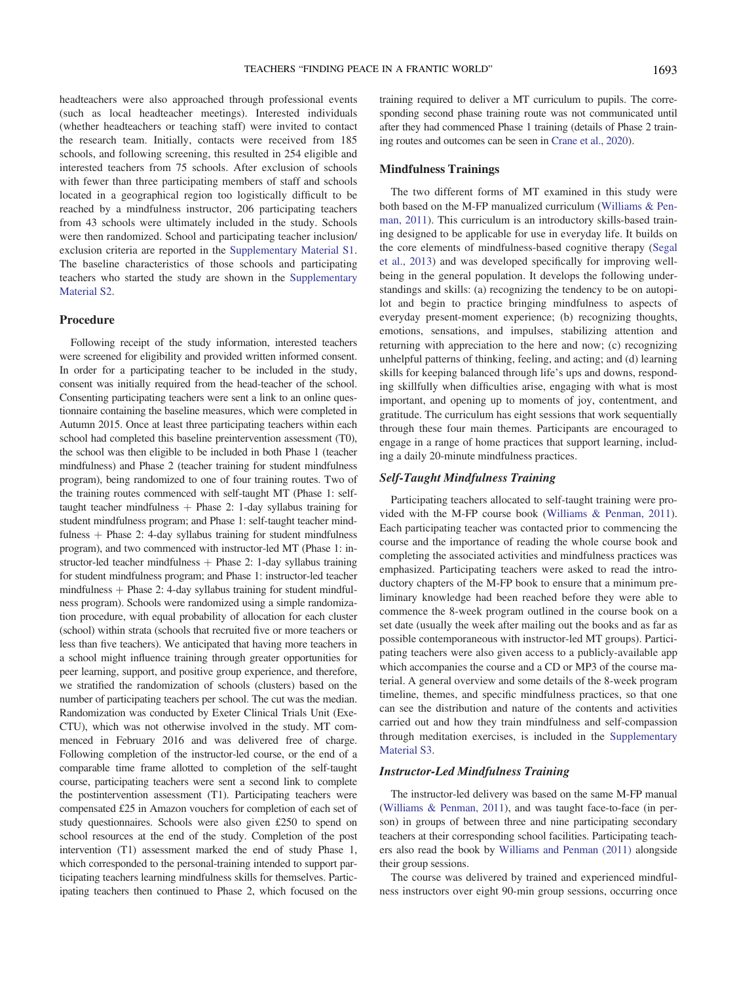headteachers were also approached through professional events (such as local headteacher meetings). Interested individuals (whether headteachers or teaching staff) were invited to contact the research team. Initially, contacts were received from 185 schools, and following screening, this resulted in 254 eligible and interested teachers from 75 schools. After exclusion of schools with fewer than three participating members of staff and schools located in a geographical region too logistically difficult to be reached by a mindfulness instructor, 206 participating teachers from 43 schools were ultimately included in the study. Schools were then randomized. School and participating teacher inclusion/ exclusion criteria are reported in the [Supplementary Material S1.](https://doi.org/10.1037/edu0000542.supp) The baseline characteristics of those schools and participating teachers who started the study are shown in the [Supplementary](https://doi.org/10.1037/edu0000542.supp) [Material S2](https://doi.org/10.1037/edu0000542.supp).

# Procedure

Following receipt of the study information, interested teachers were screened for eligibility and provided written informed consent. In order for a participating teacher to be included in the study, consent was initially required from the head-teacher of the school. Consenting participating teachers were sent a link to an online questionnaire containing the baseline measures, which were completed in Autumn 2015. Once at least three participating teachers within each school had completed this baseline preintervention assessment (T0), the school was then eligible to be included in both Phase 1 (teacher mindfulness) and Phase 2 (teacher training for student mindfulness program), being randomized to one of four training routes. Two of the training routes commenced with self-taught MT (Phase 1: selftaught teacher mindfulness  $+$  Phase 2: 1-day syllabus training for student mindfulness program; and Phase 1: self-taught teacher mindfulness  $+$  Phase 2: 4-day syllabus training for student mindfulness program), and two commenced with instructor-led MT (Phase 1: instructor-led teacher mindfulness  $+$  Phase 2: 1-day syllabus training for student mindfulness program; and Phase 1: instructor-led teacher mindfulness  $+$  Phase 2: 4-day syllabus training for student mindfulness program). Schools were randomized using a simple randomization procedure, with equal probability of allocation for each cluster (school) within strata (schools that recruited five or more teachers or less than five teachers). We anticipated that having more teachers in a school might influence training through greater opportunities for peer learning, support, and positive group experience, and therefore, we stratified the randomization of schools (clusters) based on the number of participating teachers per school. The cut was the median. Randomization was conducted by Exeter Clinical Trials Unit (Exe-CTU), which was not otherwise involved in the study. MT commenced in February 2016 and was delivered free of charge. Following completion of the instructor-led course, or the end of a comparable time frame allotted to completion of the self-taught course, participating teachers were sent a second link to complete the postintervention assessment (T1). Participating teachers were compensated £25 in Amazon vouchers for completion of each set of study questionnaires. Schools were also given £250 to spend on school resources at the end of the study. Completion of the post intervention (T1) assessment marked the end of study Phase 1, which corresponded to the personal-training intended to support participating teachers learning mindfulness skills for themselves. Participating teachers then continued to Phase 2, which focused on the

training required to deliver a MT curriculum to pupils. The corresponding second phase training route was not communicated until after they had commenced Phase 1 training (details of Phase 2 training routes and outcomes can be seen in [Crane et al., 2020](#page-16-2)).

# Mindfulness Trainings

The two different forms of MT examined in this study were both based on the M-FP manualized curriculum ([Williams & Pen](#page-19-0)[man, 2011\)](#page-19-0). This curriculum is an introductory skills-based training designed to be applicable for use in everyday life. It builds on the core elements of mindfulness-based cognitive therapy [\(Segal](#page-18-3) [et al., 2013](#page-18-3)) and was developed specifically for improving wellbeing in the general population. It develops the following understandings and skills: (a) recognizing the tendency to be on autopilot and begin to practice bringing mindfulness to aspects of everyday present-moment experience; (b) recognizing thoughts, emotions, sensations, and impulses, stabilizing attention and returning with appreciation to the here and now; (c) recognizing unhelpful patterns of thinking, feeling, and acting; and (d) learning skills for keeping balanced through life's ups and downs, responding skillfully when difficulties arise, engaging with what is most important, and opening up to moments of joy, contentment, and gratitude. The curriculum has eight sessions that work sequentially through these four main themes. Participants are encouraged to engage in a range of home practices that support learning, including a daily 20-minute mindfulness practices.

# Self-Taught Mindfulness Training

Participating teachers allocated to self-taught training were provided with the M-FP course book ([Williams & Penman, 2011\)](#page-19-0). Each participating teacher was contacted prior to commencing the course and the importance of reading the whole course book and completing the associated activities and mindfulness practices was emphasized. Participating teachers were asked to read the introductory chapters of the M-FP book to ensure that a minimum preliminary knowledge had been reached before they were able to commence the 8-week program outlined in the course book on a set date (usually the week after mailing out the books and as far as possible contemporaneous with instructor-led MT groups). Participating teachers were also given access to a publicly-available app which accompanies the course and a CD or MP3 of the course material. A general overview and some details of the 8-week program timeline, themes, and specific mindfulness practices, so that one can see the distribution and nature of the contents and activities carried out and how they train mindfulness and self-compassion through meditation exercises, is included in the [Supplementary](https://doi.org/10.1037/edu0000542.supp) [Material S3](https://doi.org/10.1037/edu0000542.supp).

# Instructor-Led Mindfulness Training

The instructor-led delivery was based on the same M-FP manual ([Williams & Penman, 2011\)](#page-19-0), and was taught face-to-face (in person) in groups of between three and nine participating secondary teachers at their corresponding school facilities. Participating teachers also read the book by [Williams and Penman \(2011\)](#page-19-0) alongside their group sessions.

The course was delivered by trained and experienced mindfulness instructors over eight 90-min group sessions, occurring once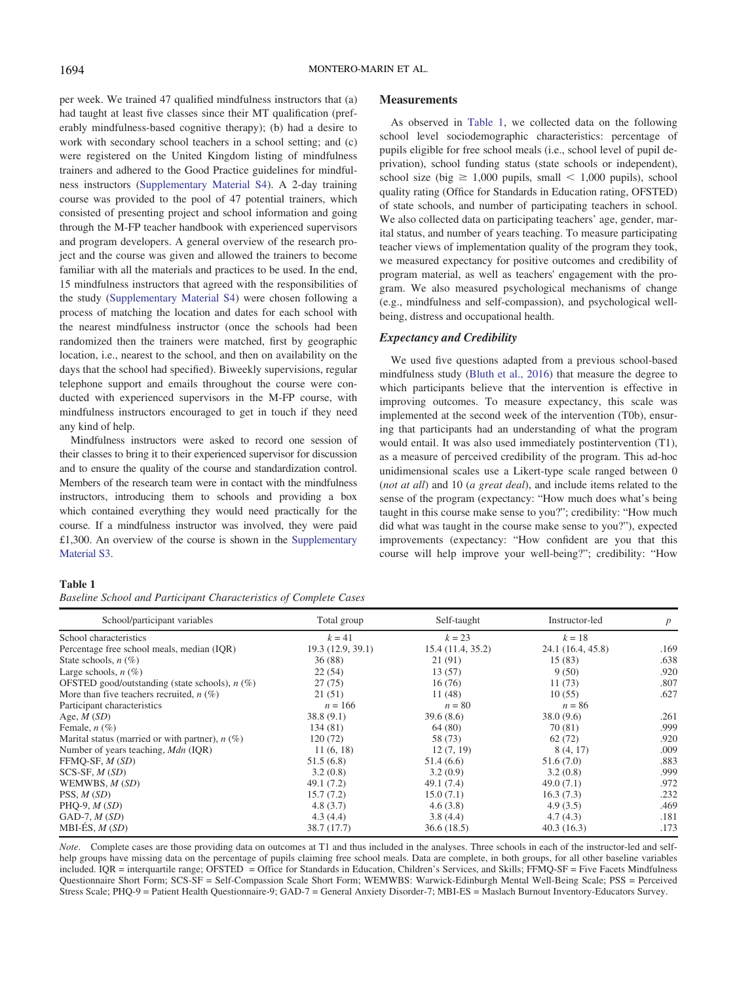per week. We trained 47 qualified mindfulness instructors that (a) had taught at least five classes since their MT qualification (preferably mindfulness-based cognitive therapy); (b) had a desire to work with secondary school teachers in a school setting; and (c) were registered on the United Kingdom listing of mindfulness trainers and adhered to the Good Practice guidelines for mindfulness instructors ([Supplementary Material S4](https://doi.org/10.1037/edu0000542.supp)). A 2-day training course was provided to the pool of 47 potential trainers, which consisted of presenting project and school information and going through the M-FP teacher handbook with experienced supervisors and program developers. A general overview of the research project and the course was given and allowed the trainers to become familiar with all the materials and practices to be used. In the end, 15 mindfulness instructors that agreed with the responsibilities of the study [\(Supplementary Material S4\)](https://doi.org/10.1037/edu0000542.supp) were chosen following a process of matching the location and dates for each school with the nearest mindfulness instructor (once the schools had been randomized then the trainers were matched, first by geographic location, i.e., nearest to the school, and then on availability on the days that the school had specified). Biweekly supervisions, regular telephone support and emails throughout the course were conducted with experienced supervisors in the M-FP course, with mindfulness instructors encouraged to get in touch if they need any kind of help.

Mindfulness instructors were asked to record one session of their classes to bring it to their experienced supervisor for discussion and to ensure the quality of the course and standardization control. Members of the research team were in contact with the mindfulness instructors, introducing them to schools and providing a box which contained everything they would need practically for the course. If a mindfulness instructor was involved, they were paid £1,300. An overview of the course is shown in the [Supplementary](https://doi.org/10.1037/edu0000542.supp) [Material S3](https://doi.org/10.1037/edu0000542.supp).

# **Measurements**

As observed in [Table 1](#page-5-0), we collected data on the following school level sociodemographic characteristics: percentage of pupils eligible for free school meals (i.e., school level of pupil deprivation), school funding status (state schools or independent), school size (big  $\geq 1,000$  pupils, small  $\leq 1,000$  pupils), school quality rating (Office for Standards in Education rating, OFSTED) of state schools, and number of participating teachers in school. We also collected data on participating teachers' age, gender, marital status, and number of years teaching. To measure participating teacher views of implementation quality of the program they took, we measured expectancy for positive outcomes and credibility of program material, as well as teachers' engagement with the program. We also measured psychological mechanisms of change (e.g., mindfulness and self-compassion), and psychological wellbeing, distress and occupational health.

#### Expectancy and Credibility

We used five questions adapted from a previous school-based mindfulness study [\(Bluth et al., 2016\)](#page-15-7) that measure the degree to which participants believe that the intervention is effective in improving outcomes. To measure expectancy, this scale was implemented at the second week of the intervention (T0b), ensuring that participants had an understanding of what the program would entail. It was also used immediately postintervention (T1), as a measure of perceived credibility of the program. This ad-hoc unidimensional scales use a Likert-type scale ranged between 0 (not at all) and 10 (a great deal), and include items related to the sense of the program (expectancy: "How much does what's being taught in this course make sense to you?"; credibility: "How much did what was taught in the course make sense to you?"), expected improvements (expectancy: "How confident are you that this course will help improve your well-being?"; credibility: "How

#### <span id="page-5-0"></span>Table 1

Baseline School and Participant Characteristics of Complete Cases

| School/participant variables                      | Total group       | Self-taught      | Instructor-led    | p    |  |
|---------------------------------------------------|-------------------|------------------|-------------------|------|--|
| School characteristics                            | $k = 41$          | $k = 23$         | $k = 18$          |      |  |
| Percentage free school meals, median (IQR)        | 19.3 (12.9, 39.1) | 15.4(11.4, 35.2) | 24.1 (16.4, 45.8) | .169 |  |
| State schools, $n(\%)$                            | 36 (88)           | 21(91)           | 15(83)            | .638 |  |
| Large schools, $n(\%)$                            | 22(54)            | 13(57)           | 9(50)             | .920 |  |
| OFSTED good/outstanding (state schools), $n$ (%)  | 27(75)            | 16(76)           | 11 (73)           | .807 |  |
| More than five teachers recruited, $n$ (%)        | 21(51)            | 11(48)           | 10(55)            | .627 |  |
| Participant characteristics                       | $n = 166$         | $n = 80$         | $n = 86$          |      |  |
| Age, $M(SD)$                                      | 38.8(9.1)         | 39.6(8.6)        | 38.0(9.6)         | .261 |  |
| Female, $n$ $(\%)$                                | 134 (81)          | 64 (80)          | 70 (81)           | .999 |  |
| Marital status (married or with partner), $n$ (%) | 120(72)           | 58 (73)          | 62(72)            | .920 |  |
| Number of years teaching, <i>Mdn</i> (IQR)        | 11(6, 18)         | 12(7, 19)        | 8 (4, 17)         | .009 |  |
| FFMQ-SF, $M(SD)$                                  | 51.5(6.8)         | 51.4(6.6)        | 51.6(7.0)         | .883 |  |
| $SCS-SF, M(SD)$                                   | 3.2(0.8)          | 3.2(0.9)         | 3.2(0.8)          | .999 |  |
| WEMWBS, $M(SD)$                                   | 49.1(7.2)         | 49.1 (7.4)       | 49.0(7.1)         | .972 |  |
| PSS, $M(SD)$                                      | 15.7(7.2)         | 15.0(7.1)        | 16.3(7.3)         | .232 |  |
| PHQ-9, $M(SD)$                                    | 4.8(3.7)          | 4.6(3.8)         | 4.9(3.5)          | .469 |  |
| GAD-7, $M(SD)$                                    | 4.3(4.4)          | 3.8(4.4)         | 4.7(4.3)          | .181 |  |
| MBI-ÉS, $M(SD)$                                   | 38.7 (17.7)       | 36.6(18.5)       | 40.3(16.3)        | .173 |  |

Note. Complete cases are those providing data on outcomes at T1 and thus included in the analyses. Three schools in each of the instructor-led and selfhelp groups have missing data on the percentage of pupils claiming free school meals. Data are complete, in both groups, for all other baseline variables included. IQR = interquartile range; OFSTED = Office for Standards in Education, Children's Services, and Skills; FFMQ-SF = Five Facets Mindfulness Questionnaire Short Form; SCS-SF = Self-Compassion Scale Short Form; WEMWBS: Warwick-Edinburgh Mental Well-Being Scale; PSS = Perceived Stress Scale; PHQ-9 = Patient Health Questionnaire-9; GAD-7 = General Anxiety Disorder-7; MBI-ES = Maslach Burnout Inventory-Educators Survey.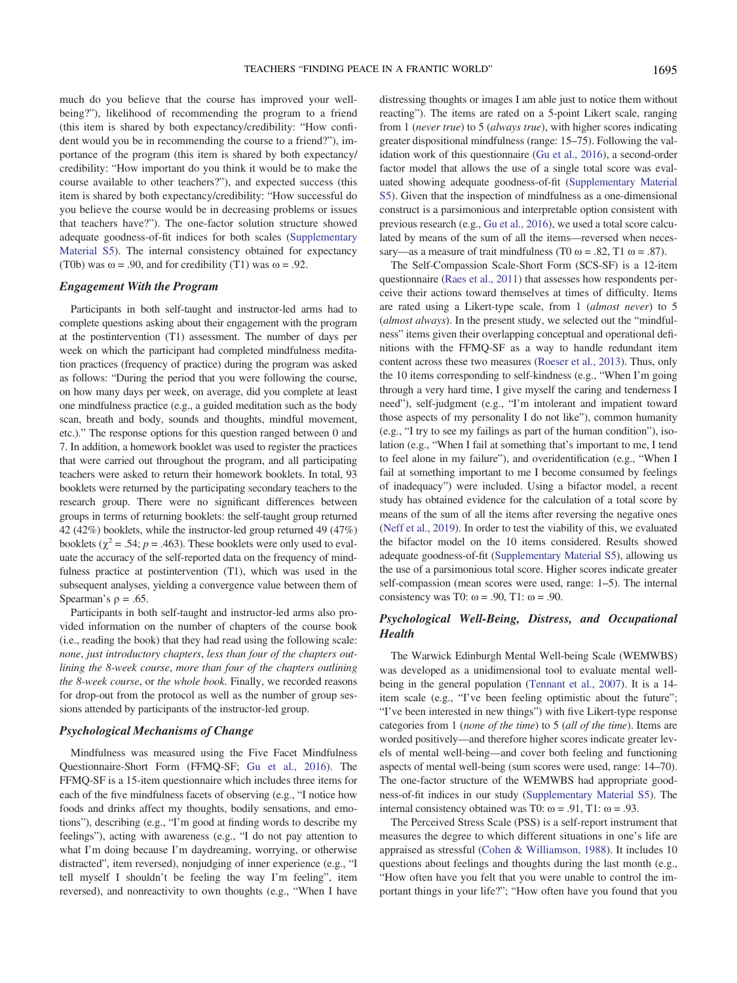much do you believe that the course has improved your wellbeing?"), likelihood of recommending the program to a friend (this item is shared by both expectancy/credibility: "How confident would you be in recommending the course to a friend?"), importance of the program (this item is shared by both expectancy/ credibility: "How important do you think it would be to make the course available to other teachers?"), and expected success (this item is shared by both expectancy/credibility: "How successful do you believe the course would be in decreasing problems or issues that teachers have?"). The one-factor solution structure showed adequate goodness-of-fit indices for both scales ([Supplementary](https://doi.org/10.1037/edu0000542.supp) [Material S5](https://doi.org/10.1037/edu0000542.supp)). The internal consistency obtained for expectancy (T0b) was  $\omega$  = .90, and for credibility (T1) was  $\omega$  = .92.

# Engagement With the Program

Participants in both self-taught and instructor-led arms had to complete questions asking about their engagement with the program at the postintervention (T1) assessment. The number of days per week on which the participant had completed mindfulness meditation practices (frequency of practice) during the program was asked as follows: "During the period that you were following the course, on how many days per week, on average, did you complete at least one mindfulness practice (e.g., a guided meditation such as the body scan, breath and body, sounds and thoughts, mindful movement, etc.)." The response options for this question ranged between 0 and 7. In addition, a homework booklet was used to register the practices that were carried out throughout the program, and all participating teachers were asked to return their homework booklets. In total, 93 booklets were returned by the participating secondary teachers to the research group. There were no significant differences between groups in terms of returning booklets: the self-taught group returned 42 (42%) booklets, while the instructor-led group returned 49 (47%) booklets ( $\chi^2$  = .54; p = .463). These booklets were only used to evaluate the accuracy of the self-reported data on the frequency of mindfulness practice at postintervention (T1), which was used in the subsequent analyses, yielding a convergence value between them of Spearman's  $\rho = .65$ .

Participants in both self-taught and instructor-led arms also provided information on the number of chapters of the course book (i.e., reading the book) that they had read using the following scale: none, just introductory chapters, less than four of the chapters outlining the 8-week course, more than four of the chapters outlining the 8-week course, or the whole book. Finally, we recorded reasons for drop-out from the protocol as well as the number of group sessions attended by participants of the instructor-led group.

# Psychological Mechanisms of Change

Mindfulness was measured using the Five Facet Mindfulness Questionnaire-Short Form (FFMQ-SF; [Gu et al., 2016\)](#page-16-20). The FFMQ-SF is a 15-item questionnaire which includes three items for each of the five mindfulness facets of observing (e.g., "I notice how foods and drinks affect my thoughts, bodily sensations, and emotions"), describing (e.g., "I'm good at finding words to describe my feelings"), acting with awareness (e.g., "I do not pay attention to what I'm doing because I'm daydreaming, worrying, or otherwise distracted", item reversed), nonjudging of inner experience (e.g., "I tell myself I shouldn't be feeling the way I'm feeling", item reversed), and nonreactivity to own thoughts (e.g., "When I have

distressing thoughts or images I am able just to notice them without reacting"). The items are rated on a 5-point Likert scale, ranging from 1 (never true) to 5 (always true), with higher scores indicating greater dispositional mindfulness (range: 15–75). Following the validation work of this questionnaire [\(Gu et al., 2016\)](#page-16-20), a second-order factor model that allows the use of a single total score was evaluated showing adequate goodness-of-fit ([Supplementary Material](https://doi.org/10.1037/edu0000542.supp) [S5](https://doi.org/10.1037/edu0000542.supp)). Given that the inspection of mindfulness as a one-dimensional construct is a parsimonious and interpretable option consistent with previous research (e.g., [Gu et al., 2016\)](#page-16-20), we used a total score calculated by means of the sum of all the items—reversed when necessary—as a measure of trait mindfulness (T0  $\omega$  = .82, T1  $\omega$  = .87).

The Self-Compassion Scale-Short Form (SCS-SF) is a 12-item questionnaire ([Raes et al., 2011\)](#page-18-15) that assesses how respondents perceive their actions toward themselves at times of difficulty. Items are rated using a Likert-type scale, from 1 (almost never) to 5 (almost always). In the present study, we selected out the "mindfulness" items given their overlapping conceptual and operational definitions with the FFMQ-SF as a way to handle redundant item content across these two measures ([Roeser et al., 2013](#page-18-6)). Thus, only the 10 items corresponding to self-kindness (e.g., "When I'm going through a very hard time, I give myself the caring and tenderness I need"), self-judgment (e.g., "I'm intolerant and impatient toward those aspects of my personality I do not like"), common humanity (e.g., "I try to see my failings as part of the human condition"), isolation (e.g., "When I fail at something that's important to me, I tend to feel alone in my failure"), and overidentification (e.g., "When I fail at something important to me I become consumed by feelings of inadequacy") were included. Using a bifactor model, a recent study has obtained evidence for the calculation of a total score by means of the sum of all the items after reversing the negative ones ([Neff et al., 2019\)](#page-17-14). In order to test the viability of this, we evaluated the bifactor model on the 10 items considered. Results showed adequate goodness-of-fit ([Supplementary Material S5\)](https://doi.org/10.1037/edu0000542.supp), allowing us the use of a parsimonious total score. Higher scores indicate greater self-compassion (mean scores were used, range: 1–5). The internal consistency was T0:  $\omega = .90$ , T1:  $\omega = .90$ .

# Psychological Well-Being, Distress, and Occupational Health

The Warwick Edinburgh Mental Well-being Scale (WEMWBS) was developed as a unidimensional tool to evaluate mental wellbeing in the general population ([Tennant et al., 2007](#page-18-16)). It is a 14 item scale (e.g., "I've been feeling optimistic about the future"; "I've been interested in new things") with five Likert-type response categories from 1 (none of the time) to 5 (all of the time). Items are worded positively—and therefore higher scores indicate greater levels of mental well-being—and cover both feeling and functioning aspects of mental well-being (sum scores were used, range: 14–70). The one-factor structure of the WEMWBS had appropriate goodness-of-fit indices in our study [\(Supplementary Material S5\)](https://doi.org/10.1037/edu0000542.supp). The internal consistency obtained was T0:  $\omega = .91$ , T1:  $\omega = .93$ .

The Perceived Stress Scale (PSS) is a self-report instrument that measures the degree to which different situations in one's life are appraised as stressful [\(Cohen & Williamson, 1988\)](#page-16-21). It includes 10 questions about feelings and thoughts during the last month (e.g., "How often have you felt that you were unable to control the important things in your life?"; "How often have you found that you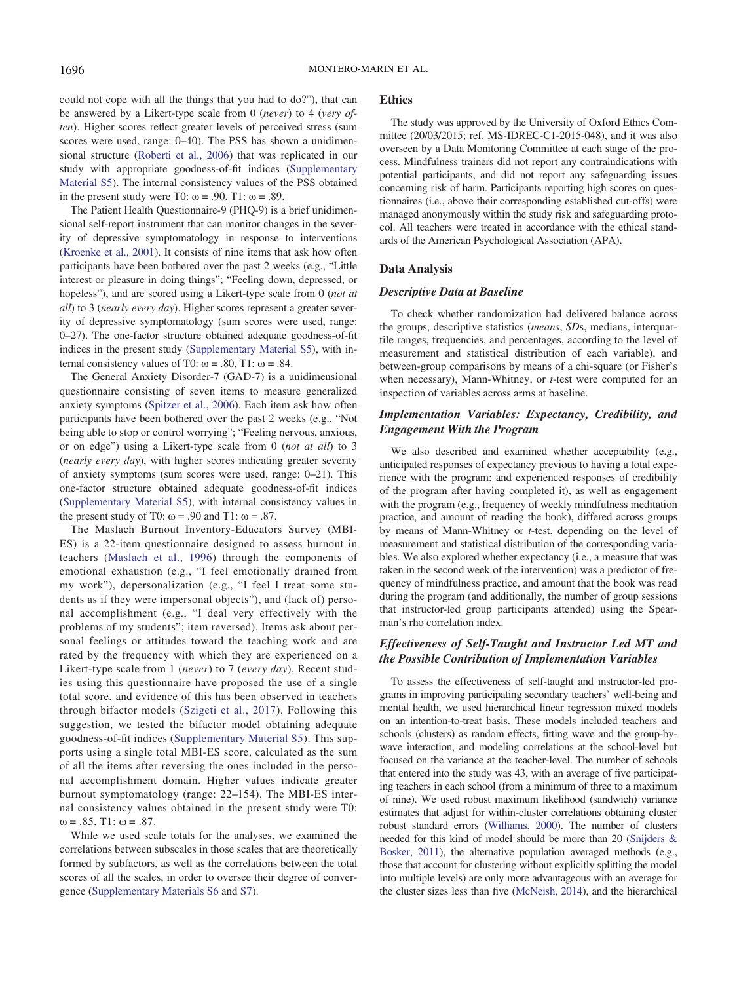could not cope with all the things that you had to do?"), that can be answered by a Likert-type scale from 0 (never) to 4 (very often). Higher scores reflect greater levels of perceived stress (sum scores were used, range:  $0-40$ ). The PSS has shown a unidimensional structure [\(Roberti et al., 2006\)](#page-18-17) that was replicated in our study with appropriate goodness-of-fit indices ([Supplementary](https://doi.org/10.1037/edu0000542.supp) [Material S5\)](https://doi.org/10.1037/edu0000542.supp). The internal consistency values of the PSS obtained in the present study were T0:  $\omega = .90$ , T1:  $\omega = .89$ .

The Patient Health Questionnaire-9 (PHQ-9) is a brief unidimensional self-report instrument that can monitor changes in the severity of depressive symptomatology in response to interventions [\(Kroenke et al., 2001](#page-17-15)). It consists of nine items that ask how often participants have been bothered over the past 2 weeks (e.g., "Little interest or pleasure in doing things"; "Feeling down, depressed, or hopeless"), and are scored using a Likert-type scale from 0 (not at all) to 3 (nearly every day). Higher scores represent a greater severity of depressive symptomatology (sum scores were used, range: 0–27). The one-factor structure obtained adequate goodness-of-fit indices in the present study ([Supplementary Material S5](https://doi.org/10.1037/edu0000542.supp)), with internal consistency values of T0:  $\omega = .80$ , T1:  $\omega = .84$ .

The General Anxiety Disorder-7 (GAD-7) is a unidimensional questionnaire consisting of seven items to measure generalized anxiety symptoms ([Spitzer et al., 2006](#page-18-18)). Each item ask how often participants have been bothered over the past 2 weeks (e.g., "Not being able to stop or control worrying"; "Feeling nervous, anxious, or on edge") using a Likert-type scale from 0 (not at all) to 3 (nearly every day), with higher scores indicating greater severity of anxiety symptoms (sum scores were used, range: 0–21). This one-factor structure obtained adequate goodness-of-fit indices [\(Supplementary Material S5\)](https://doi.org/10.1037/edu0000542.supp), with internal consistency values in the present study of T0:  $\omega$  = .90 and T1:  $\omega$  = .87.

The Maslach Burnout Inventory-Educators Survey (MBI-ES) is a 22-item questionnaire designed to assess burnout in teachers ([Maslach et al., 1996](#page-17-16)) through the components of emotional exhaustion (e.g., "I feel emotionally drained from my work"), depersonalization (e.g., "I feel I treat some students as if they were impersonal objects"), and (lack of) personal accomplishment (e.g., "I deal very effectively with the problems of my students"; item reversed). Items ask about personal feelings or attitudes toward the teaching work and are rated by the frequency with which they are experienced on a Likert-type scale from 1 (never) to 7 (every day). Recent studies using this questionnaire have proposed the use of a single total score, and evidence of this has been observed in teachers through bifactor models ([Szigeti et al., 2017\)](#page-18-19). Following this suggestion, we tested the bifactor model obtaining adequate goodness-of-fit indices [\(Supplementary Material S5\)](https://doi.org/10.1037/edu0000542.supp). This supports using a single total MBI-ES score, calculated as the sum of all the items after reversing the ones included in the personal accomplishment domain. Higher values indicate greater burnout symptomatology (range: 22–154). The MBI-ES internal consistency values obtained in the present study were T0:  $\omega = .85$ , T1:  $\omega = .87$ .

While we used scale totals for the analyses, we examined the correlations between subscales in those scales that are theoretically formed by subfactors, as well as the correlations between the total scores of all the scales, in order to oversee their degree of convergence [\(Supplementary Materials S6](https://doi.org/10.1037/edu0000542.supp) and [S7](https://doi.org/10.1037/edu0000542.supp)).

# Ethics

The study was approved by the University of Oxford Ethics Committee (20/03/2015; ref. MS-IDREC-C1-2015-048), and it was also overseen by a Data Monitoring Committee at each stage of the process. Mindfulness trainers did not report any contraindications with potential participants, and did not report any safeguarding issues concerning risk of harm. Participants reporting high scores on questionnaires (i.e., above their corresponding established cut-offs) were managed anonymously within the study risk and safeguarding protocol. All teachers were treated in accordance with the ethical standards of the American Psychological Association (APA).

#### Data Analysis

# Descriptive Data at Baseline

To check whether randomization had delivered balance across the groups, descriptive statistics (means, SDs, medians, interquartile ranges, frequencies, and percentages, according to the level of measurement and statistical distribution of each variable), and between-group comparisons by means of a chi-square (or Fisher's when necessary), Mann-Whitney, or  $t$ -test were computed for an inspection of variables across arms at baseline.

# Implementation Variables: Expectancy, Credibility, and Engagement With the Program

We also described and examined whether acceptability (e.g., anticipated responses of expectancy previous to having a total experience with the program; and experienced responses of credibility of the program after having completed it), as well as engagement with the program (e.g., frequency of weekly mindfulness meditation practice, and amount of reading the book), differed across groups by means of Mann-Whitney or t-test, depending on the level of measurement and statistical distribution of the corresponding variables. We also explored whether expectancy (i.e., a measure that was taken in the second week of the intervention) was a predictor of frequency of mindfulness practice, and amount that the book was read during the program (and additionally, the number of group sessions that instructor-led group participants attended) using the Spearman's rho correlation index.

# Effectiveness of Self-Taught and Instructor Led MT and the Possible Contribution of Implementation Variables

To assess the effectiveness of self-taught and instructor-led programs in improving participating secondary teachers' well-being and mental health, we used hierarchical linear regression mixed models on an intention-to-treat basis. These models included teachers and schools (clusters) as random effects, fitting wave and the group-bywave interaction, and modeling correlations at the school-level but focused on the variance at the teacher-level. The number of schools that entered into the study was 43, with an average of five participating teachers in each school (from a minimum of three to a maximum of nine). We used robust maximum likelihood (sandwich) variance estimates that adjust for within-cluster correlations obtaining cluster robust standard errors [\(Williams, 2000](#page-19-5)). The number of clusters needed for this kind of model should be more than 20 ([Snijders &](#page-18-20) [Bosker, 2011](#page-18-20)), the alternative population averaged methods (e.g., those that account for clustering without explicitly splitting the model into multiple levels) are only more advantageous with an average for the cluster sizes less than five ([McNeish, 2014](#page-17-17)), and the hierarchical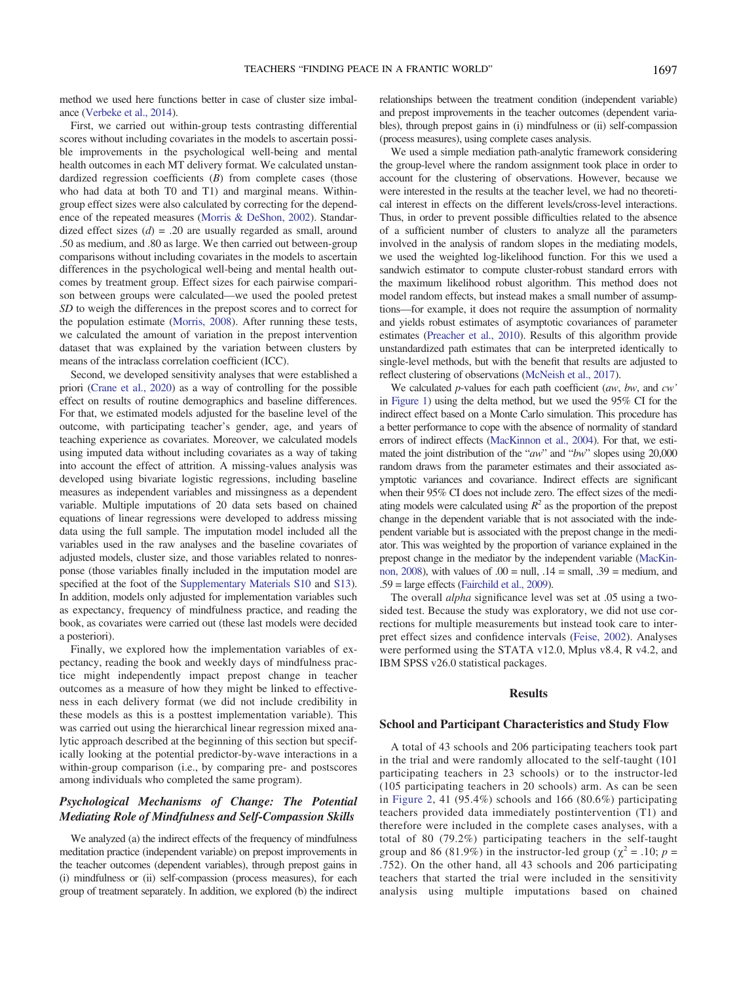method we used here functions better in case of cluster size imbalance ([Verbeke et al., 2014\)](#page-18-21).

First, we carried out within-group tests contrasting differential scores without including covariates in the models to ascertain possible improvements in the psychological well-being and mental health outcomes in each MT delivery format. We calculated unstandardized regression coefficients  $(B)$  from complete cases (those who had data at both T0 and T1) and marginal means. Withingroup effect sizes were also calculated by correcting for the dependence of the repeated measures [\(Morris & DeShon, 2002](#page-17-18)). Standardized effect sizes  $(d) = .20$  are usually regarded as small, around .50 as medium, and .80 as large. We then carried out between-group comparisons without including covariates in the models to ascertain differences in the psychological well-being and mental health outcomes by treatment group. Effect sizes for each pairwise comparison between groups were calculated—we used the pooled pretest SD to weigh the differences in the prepost scores and to correct for the population estimate [\(Morris, 2008\)](#page-17-19). After running these tests, we calculated the amount of variation in the prepost intervention dataset that was explained by the variation between clusters by means of the intraclass correlation coefficient (ICC).

Second, we developed sensitivity analyses that were established a priori [\(Crane et al., 2020](#page-16-2)) as a way of controlling for the possible effect on results of routine demographics and baseline differences. For that, we estimated models adjusted for the baseline level of the outcome, with participating teacher's gender, age, and years of teaching experience as covariates. Moreover, we calculated models using imputed data without including covariates as a way of taking into account the effect of attrition. A missing-values analysis was developed using bivariate logistic regressions, including baseline measures as independent variables and missingness as a dependent variable. Multiple imputations of 20 data sets based on chained equations of linear regressions were developed to address missing data using the full sample. The imputation model included all the variables used in the raw analyses and the baseline covariates of adjusted models, cluster size, and those variables related to nonresponse (those variables finally included in the imputation model are specified at the foot of the [Supplementary Materials S10](https://doi.org/10.1037/edu0000542.supp) and [S13\)](https://doi.org/10.1037/edu0000542.supp). In addition, models only adjusted for implementation variables such as expectancy, frequency of mindfulness practice, and reading the book, as covariates were carried out (these last models were decided a posteriori).

Finally, we explored how the implementation variables of expectancy, reading the book and weekly days of mindfulness practice might independently impact prepost change in teacher outcomes as a measure of how they might be linked to effectiveness in each delivery format (we did not include credibility in these models as this is a posttest implementation variable). This was carried out using the hierarchical linear regression mixed analytic approach described at the beginning of this section but specifically looking at the potential predictor-by-wave interactions in a within-group comparison (i.e., by comparing pre- and postscores among individuals who completed the same program).

# Psychological Mechanisms of Change: The Potential Mediating Role of Mindfulness and Self-Compassion Skills

We analyzed (a) the indirect effects of the frequency of mindfulness meditation practice (independent variable) on prepost improvements in the teacher outcomes (dependent variables), through prepost gains in (i) mindfulness or (ii) self-compassion (process measures), for each group of treatment separately. In addition, we explored (b) the indirect

relationships between the treatment condition (independent variable) and prepost improvements in the teacher outcomes (dependent variables), through prepost gains in (i) mindfulness or (ii) self-compassion (process measures), using complete cases analysis.

We used a simple mediation path-analytic framework considering the group-level where the random assignment took place in order to account for the clustering of observations. However, because we were interested in the results at the teacher level, we had no theoretical interest in effects on the different levels/cross-level interactions. Thus, in order to prevent possible difficulties related to the absence of a sufficient number of clusters to analyze all the parameters involved in the analysis of random slopes in the mediating models, we used the weighted log-likelihood function. For this we used a sandwich estimator to compute cluster-robust standard errors with the maximum likelihood robust algorithm. This method does not model random effects, but instead makes a small number of assumptions—for example, it does not require the assumption of normality and yields robust estimates of asymptotic covariances of parameter estimates [\(Preacher et al., 2010\)](#page-18-22). Results of this algorithm provide unstandardized path estimates that can be interpreted identically to single-level methods, but with the benefit that results are adjusted to reflect clustering of observations [\(McNeish et al., 2017\)](#page-17-20).

We calculated  $p$ -values for each path coefficient  $(aw, bw, and cw')$ in [Figure 1\)](#page-9-0) using the delta method, but we used the 95% CI for the indirect effect based on a Monte Carlo simulation. This procedure has a better performance to cope with the absence of normality of standard errors of indirect effects [\(MacKinnon et al., 2004](#page-17-21)). For that, we estimated the joint distribution of the "aw" and "bw" slopes using 20,000 random draws from the parameter estimates and their associated asymptotic variances and covariance. Indirect effects are significant when their 95% CI does not include zero. The effect sizes of the mediating models were calculated using  $R^2$  as the proportion of the prepost change in the dependent variable that is not associated with the independent variable but is associated with the prepost change in the mediator. This was weighted by the proportion of variance explained in the prepost change in the mediator by the independent variable [\(MacKin](#page-17-22)[non, 2008](#page-17-22)), with values of  $.00 = \text{null}$ ,  $.14 = \text{small}$ ,  $.39 = \text{medium}$ , and .59 = large effects ([Fairchild et al., 2009](#page-16-22)).

The overall alpha significance level was set at .05 using a twosided test. Because the study was exploratory, we did not use corrections for multiple measurements but instead took care to interpret effect sizes and confidence intervals [\(Feise, 2002\)](#page-16-23). Analyses were performed using the STATA v12.0, Mplus v8.4, R v4.2, and IBM SPSS v26.0 statistical packages.

# Results

#### School and Participant Characteristics and Study Flow

A total of 43 schools and 206 participating teachers took part in the trial and were randomly allocated to the self-taught (101 participating teachers in 23 schools) or to the instructor-led (105 participating teachers in 20 schools) arm. As can be seen in [Figure 2,](#page-10-0) 41 (95.4%) schools and 166 (80.6%) participating teachers provided data immediately postintervention (T1) and therefore were included in the complete cases analyses, with a total of 80 (79.2%) participating teachers in the self-taught group and 86 (81.9%) in the instructor-led group ( $\chi^2$  = .10; p = .752). On the other hand, all 43 schools and 206 participating teachers that started the trial were included in the sensitivity analysis using multiple imputations based on chained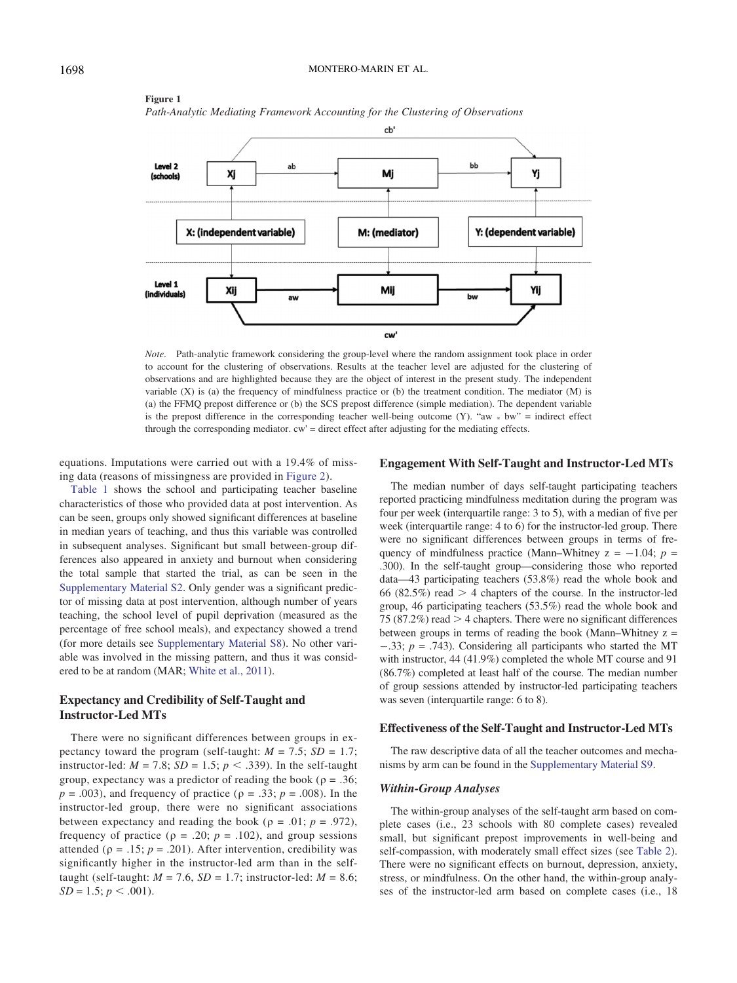

<span id="page-9-0"></span>Figure 1 Path-Analytic Mediating Framework Accounting for the Clustering of Observations

Note. Path-analytic framework considering the group-level where the random assignment took place in order to account for the clustering of observations. Results at the teacher level are adjusted for the clustering of observations and are highlighted because they are the object of interest in the present study. The independent variable  $(X)$  is (a) the frequency of mindfulness practice or (b) the treatment condition. The mediator  $(M)$  is (a) the FFMQ prepost difference or (b) the SCS prepost difference (simple mediation). The dependent variable is the prepost difference in the corresponding teacher well-being outcome  $(Y)$ . "aw  $*$  bw" = indirect effect through the corresponding mediator. cw' = direct effect after adjusting for the mediating effects.

equations. Imputations were carried out with a 19.4% of missing data (reasons of missingness are provided in [Figure 2](#page-10-0)).

[Table 1](#page-5-0) shows the school and participating teacher baseline characteristics of those who provided data at post intervention. As can be seen, groups only showed significant differences at baseline in median years of teaching, and thus this variable was controlled in subsequent analyses. Significant but small between-group differences also appeared in anxiety and burnout when considering the total sample that started the trial, as can be seen in the [Supplementary Material S2](https://doi.org/10.1037/edu0000542.supp). Only gender was a significant predictor of missing data at post intervention, although number of years teaching, the school level of pupil deprivation (measured as the percentage of free school meals), and expectancy showed a trend (for more details see [Supplementary Material S8](https://doi.org/10.1037/edu0000542.supp)). No other variable was involved in the missing pattern, and thus it was considered to be at random (MAR; [White et al., 2011](#page-19-6)).

# Expectancy and Credibility of Self-Taught and Instructor-Led MTs

There were no significant differences between groups in expectancy toward the program (self-taught:  $M = 7.5$ ;  $SD = 1.7$ ; instructor-led:  $M = 7.8$ ;  $SD = 1.5$ ;  $p < .339$ ). In the self-taught group, expectancy was a predictor of reading the book ( $\rho = .36$ ;  $p = .003$ ), and frequency of practice ( $p = .33$ ;  $p = .008$ ). In the instructor-led group, there were no significant associations between expectancy and reading the book ( $\rho = .01$ ;  $p = .972$ ), frequency of practice ( $\rho = .20$ ;  $p = .102$ ), and group sessions attended ( $p = .15$ ;  $p = .201$ ). After intervention, credibility was significantly higher in the instructor-led arm than in the selftaught (self-taught:  $M = 7.6$ ,  $SD = 1.7$ ; instructor-led:  $M = 8.6$ ;  $SD = 1.5$ ;  $p < .001$ ).

### Engagement With Self-Taught and Instructor-Led MTs

The median number of days self-taught participating teachers reported practicing mindfulness meditation during the program was four per week (interquartile range: 3 to 5), with a median of five per week (interquartile range: 4 to 6) for the instructor-led group. There were no significant differences between groups in terms of frequency of mindfulness practice (Mann–Whitney  $z = -1.04$ ;  $p =$ .300). In the self-taught group—considering those who reported data—43 participating teachers (53.8%) read the whole book and 66 (82.5%) read  $> 4$  chapters of the course. In the instructor-led group, 46 participating teachers (53.5%) read the whole book and 75 (87.2%) read  $>$  4 chapters. There were no significant differences between groups in terms of reading the book (Mann–Whitney  $z =$  $-.33; p = .743$ . Considering all participants who started the MT with instructor, 44 (41.9%) completed the whole MT course and 91 (86.7%) completed at least half of the course. The median number of group sessions attended by instructor-led participating teachers was seven (interquartile range: 6 to 8).

#### Effectiveness of the Self-Taught and Instructor-Led MTs

The raw descriptive data of all the teacher outcomes and mechanisms by arm can be found in the [Supplementary Material S9](https://doi.org/10.1037/edu0000542.supp).

#### Within-Group Analyses

The within-group analyses of the self-taught arm based on complete cases (i.e., 23 schools with 80 complete cases) revealed small, but significant prepost improvements in well-being and self-compassion, with moderately small effect sizes (see [Table 2\)](#page-11-0). There were no significant effects on burnout, depression, anxiety, stress, or mindfulness. On the other hand, the within-group analyses of the instructor-led arm based on complete cases (i.e., 18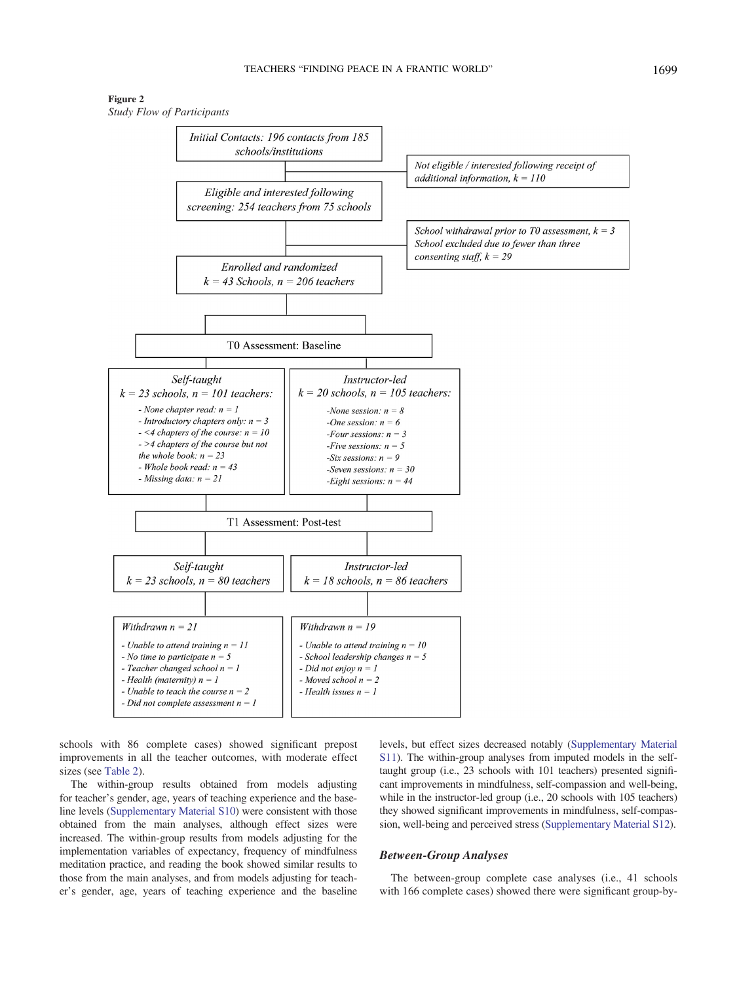Figure 2 Study Flow of Participants

<span id="page-10-0"></span>

schools with 86 complete cases) showed significant prepost improvements in all the teacher outcomes, with moderate effect sizes (see [Table 2\)](#page-11-0).

The within-group results obtained from models adjusting for teacher's gender, age, years of teaching experience and the baseline levels [\(Supplementary Material S10\)](https://doi.org/10.1037/edu0000542.supp) were consistent with those obtained from the main analyses, although effect sizes were increased. The within-group results from models adjusting for the implementation variables of expectancy, frequency of mindfulness meditation practice, and reading the book showed similar results to those from the main analyses, and from models adjusting for teacher's gender, age, years of teaching experience and the baseline levels, but effect sizes decreased notably [\(Supplementary Material](https://doi.org/10.1037/edu0000542.supp) [S11\)](https://doi.org/10.1037/edu0000542.supp). The within-group analyses from imputed models in the selftaught group (i.e., 23 schools with 101 teachers) presented significant improvements in mindfulness, self-compassion and well-being, while in the instructor-led group (i.e., 20 schools with 105 teachers) they showed significant improvements in mindfulness, self-compassion, well-being and perceived stress [\(Supplementary Material S12\)](https://doi.org/10.1037/edu0000542.supp).

# Between-Group Analyses

The between-group complete case analyses (i.e., 41 schools with 166 complete cases) showed there were significant group-by-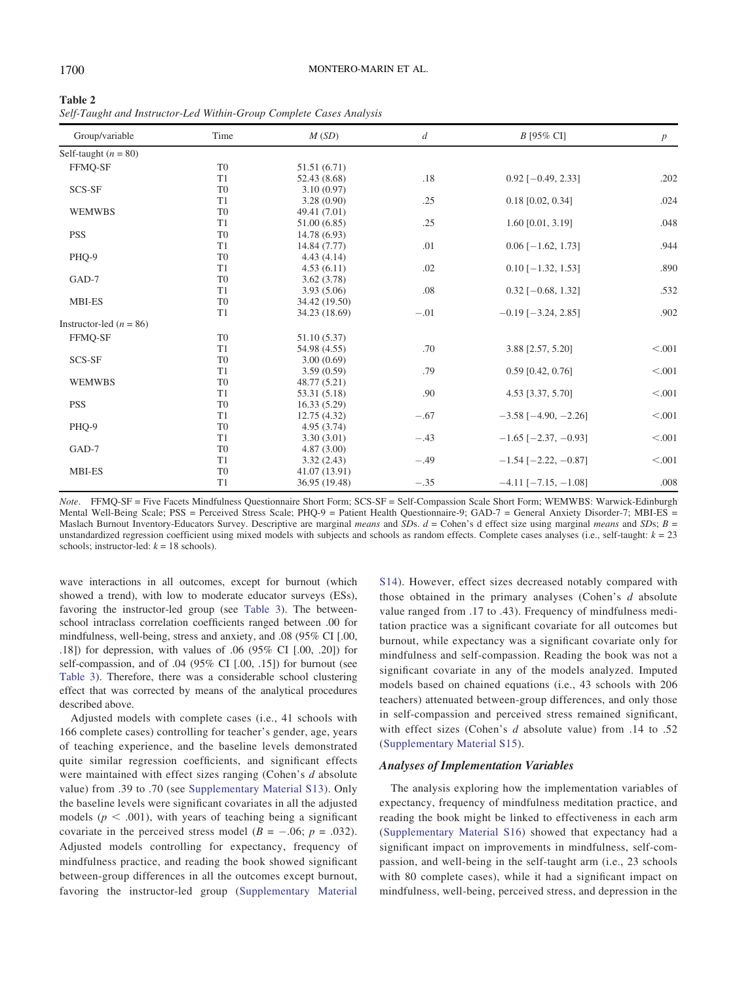<span id="page-11-0"></span>

| Table 2                                                             |  |  |
|---------------------------------------------------------------------|--|--|
| Self-Taught and Instructor-Led Within-Group Complete Cases Analysis |  |  |

| Group/variable              | Time           | M(SD)         | $\boldsymbol{d}$ | $B$ [95% CI]                  | $\boldsymbol{p}$ |
|-----------------------------|----------------|---------------|------------------|-------------------------------|------------------|
| Self-taught $(n = 80)$      |                |               |                  |                               |                  |
| FFMO-SF                     | T <sub>0</sub> | 51.51 (6.71)  |                  |                               |                  |
|                             | T <sub>1</sub> | 52.43 (8.68)  | .18              | $0.92$ [-0.49, 2.33]          | .202             |
| SCS-SF                      | T <sub>0</sub> | 3.10(0.97)    |                  |                               |                  |
|                             | T1             | 3.28(0.90)    | .25              | $0.18$ [0.02, 0.34]           | .024             |
| <b>WEMWBS</b>               | T <sub>0</sub> | 49.41 (7.01)  |                  |                               |                  |
|                             | T <sub>1</sub> | 51.00 (6.85)  | .25              | 1.60 [0.01, 3.19]             | .048             |
| <b>PSS</b>                  | T <sub>0</sub> | 14.78 (6.93)  |                  |                               |                  |
|                             | T <sub>1</sub> | 14.84 (7.77)  | .01              | $0.06$ [ $-1.62$ , 1.73]      | .944             |
| PHQ-9                       | T <sub>0</sub> | 4.43(4.14)    |                  |                               |                  |
|                             | T1             | 4.53(6.11)    | .02              | $0.10$ [-1.32, 1.53]          | .890             |
| GAD-7                       | T <sub>0</sub> | 3.62(3.78)    |                  |                               |                  |
|                             | T1             | 3.93(5.06)    | .08              | $0.32$ [-0.68, 1.32]          | .532             |
| <b>MBI-ES</b>               | T <sub>0</sub> | 34.42 (19.50) |                  |                               |                  |
|                             | T <sub>1</sub> | 34.23 (18.69) | $-.01$           | $-0.19$ [ $-3.24$ , 2.85]     | .902             |
| Instructor-led ( $n = 86$ ) |                |               |                  |                               |                  |
| FFMQ-SF                     | T <sub>0</sub> | 51.10 (5.37)  |                  |                               |                  |
|                             | T <sub>1</sub> | 54.98 (4.55)  | .70              | 3.88 [2.57, 5.20]             | < .001           |
| SCS-SF                      | T <sub>0</sub> | 3.00(0.69)    |                  |                               |                  |
|                             | T1             | 3.59(0.59)    | .79              | $0.59$ [0.42, 0.76]           | < .001           |
| <b>WEMWBS</b>               | T <sub>0</sub> | 48.77 (5.21)  |                  |                               |                  |
|                             | T1             | 53.31 (5.18)  | .90              | 4.53 [3.37, 5.70]             | < .001           |
| <b>PSS</b>                  | T <sub>0</sub> | 16.33(5.29)   |                  |                               |                  |
|                             | T1             | 12.75(4.32)   | $-.67$           | $-3.58$ [ $-4.90, -2.26$ ]    | < .001           |
| PHQ-9                       | T <sub>0</sub> | 4.95 (3.74)   |                  |                               |                  |
|                             | T1             | 3.30(3.01)    | $-.43$           | $-1.65$ [ $-2.37, -0.93$ ]    | < .001           |
| GAD-7                       | T <sub>0</sub> | 4.87(3.00)    |                  |                               |                  |
|                             | T1             | 3.32(2.43)    | $-.49$           | $-1.54$ [ $-2.22, -0.87$ ]    | < .001           |
| MBI-ES                      | T <sub>0</sub> | 41.07 (13.91) |                  |                               |                  |
|                             | T1             | 36.95 (19.48) | $-.35$           | $-4.11$ [ $-7.15$ , $-1.08$ ] | .008             |

Note. FFMQ-SF = Five Facets Mindfulness Questionnaire Short Form; SCS-SF = Self-Compassion Scale Short Form; WEMWBS: Warwick-Edinburgh Mental Well-Being Scale; PSS = Perceived Stress Scale; PHQ-9 = Patient Health Questionnaire-9; GAD-7 = General Anxiety Disorder-7; MBI-ES = Maslach Burnout Inventory-Educators Survey. Descriptive are marginal means and SDs.  $d =$ Cohen's d effect size using marginal means and SDs;  $B =$ unstandardized regression coefficient using mixed models with subjects and schools as random effects. Complete cases analyses (i.e., self-taught:  $k = 23$ schools; instructor-led:  $k = 18$  schools).

wave interactions in all outcomes, except for burnout (which showed a trend), with low to moderate educator surveys (ESs), favoring the instructor-led group (see [Table 3](#page-12-0)). The betweenschool intraclass correlation coefficients ranged between .00 for mindfulness, well-being, stress and anxiety, and .08 (95% CI [.00, .18]) for depression, with values of .06 (95% CI [.00, .20]) for self-compassion, and of .04 (95% CI [.00, .15]) for burnout (see [Table 3](#page-12-0)). Therefore, there was a considerable school clustering effect that was corrected by means of the analytical procedures described above.

Adjusted models with complete cases (i.e., 41 schools with 166 complete cases) controlling for teacher's gender, age, years of teaching experience, and the baseline levels demonstrated quite similar regression coefficients, and significant effects were maintained with effect sizes ranging (Cohen's d absolute value) from .39 to .70 (see [Supplementary Material S13](https://doi.org/10.1037/edu0000542.supp)). Only the baseline levels were significant covariates in all the adjusted models ( $p < .001$ ), with years of teaching being a significant covariate in the perceived stress model ( $B = -.06$ ;  $p = .032$ ). Adjusted models controlling for expectancy, frequency of mindfulness practice, and reading the book showed significant between-group differences in all the outcomes except burnout, favoring the instructor-led group ([Supplementary Material](https://doi.org/10.1037/edu0000542.supp)

[S14\)](https://doi.org/10.1037/edu0000542.supp). However, effect sizes decreased notably compared with those obtained in the primary analyses (Cohen's d absolute value ranged from .17 to .43). Frequency of mindfulness meditation practice was a significant covariate for all outcomes but burnout, while expectancy was a significant covariate only for mindfulness and self-compassion. Reading the book was not a significant covariate in any of the models analyzed. Imputed models based on chained equations (i.e., 43 schools with 206 teachers) attenuated between-group differences, and only those in self-compassion and perceived stress remained significant, with effect sizes (Cohen's d absolute value) from .14 to .52 ([Supplementary Material S15](https://doi.org/10.1037/edu0000542.supp)).

#### Analyses of Implementation Variables

The analysis exploring how the implementation variables of expectancy, frequency of mindfulness meditation practice, and reading the book might be linked to effectiveness in each arm ([Supplementary Material S16\)](https://doi.org/10.1037/edu0000542.supp) showed that expectancy had a significant impact on improvements in mindfulness, self-compassion, and well-being in the self-taught arm (i.e., 23 schools with 80 complete cases), while it had a significant impact on mindfulness, well-being, perceived stress, and depression in the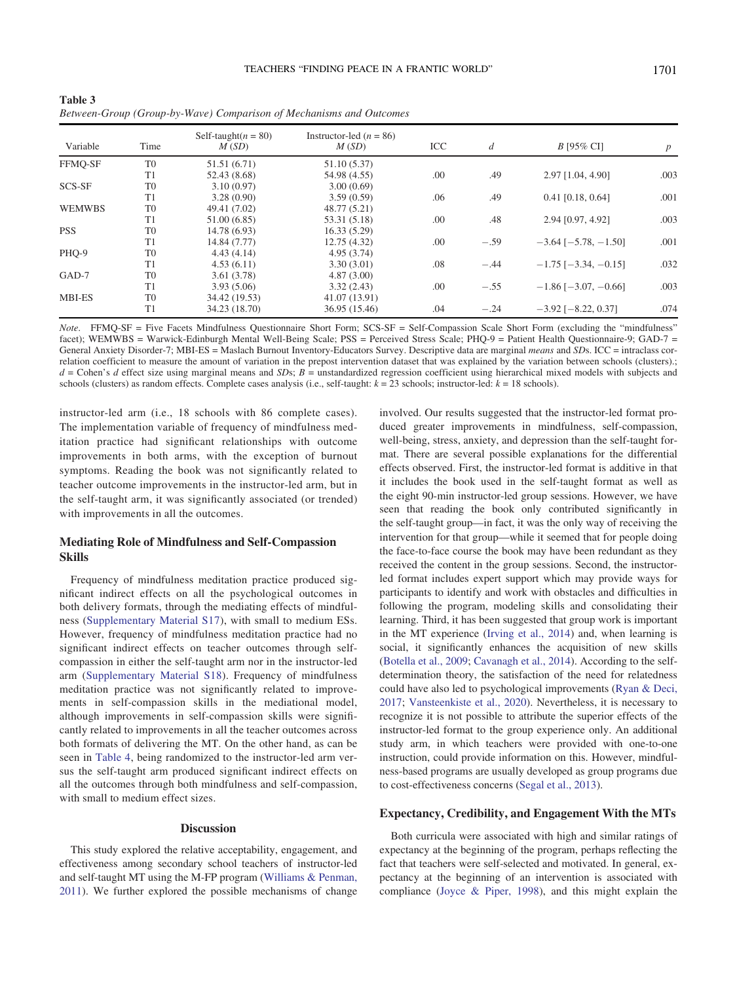<span id="page-12-0"></span>Table 3 Between-Group (Group-by-Wave) Comparison of Mechanisms and Outcomes

| Variable      | Time           | Self-taught( $n = 80$ )<br>M(SD) | Instructor-led ( $n = 86$ )<br>M(SD) | <b>ICC</b> | $\boldsymbol{d}$ | <i>B</i> [95% CI]             | p    |
|---------------|----------------|----------------------------------|--------------------------------------|------------|------------------|-------------------------------|------|
| FFMO-SF       | T <sub>0</sub> | 51.51 (6.71)                     | 51.10 (5.37)                         |            |                  |                               |      |
|               | T <sub>1</sub> | 52.43 (8.68)                     | 54.98 (4.55)                         | .00        | .49              | 2.97 [1.04, 4.90]             | .003 |
| SCS-SF        | T <sub>0</sub> | 3.10(0.97)                       | 3.00(0.69)                           |            |                  |                               |      |
|               | T1             | 3.28(0.90)                       | 3.59(0.59)                           | .06        | .49              | $0.41$ [0.18, 0.64]           | .001 |
| <b>WEMWBS</b> | T <sub>0</sub> | 49.41 (7.02)                     | 48.77 (5.21)                         |            |                  |                               |      |
|               | T <sub>1</sub> | 51.00 (6.85)                     | 53.31 (5.18)                         | .00        | .48              | 2.94 [0.97, 4.92]             | .003 |
| <b>PSS</b>    | T <sub>0</sub> | 14.78 (6.93)                     | 16.33(5.29)                          |            |                  |                               |      |
|               | T1             | 14.84 (7.77)                     | 12.75(4.32)                          | .00        | $-.59$           | $-3.64$ [ $-5.78$ , $-1.50$ ] | .001 |
| PHQ-9         | T <sub>0</sub> | 4.43(4.14)                       | 4.95(3.74)                           |            |                  |                               |      |
|               | T1             | 4.53(6.11)                       | 3.30(3.01)                           | .08        | $-.44$           | $-1.75$ [ $-3.34$ , $-0.15$ ] | .032 |
| GAD-7         | T <sub>0</sub> | 3.61(3.78)                       | 4.87(3.00)                           |            |                  |                               |      |
|               | T <sub>1</sub> | 3.93(5.06)                       | 3.32(2.43)                           | .00        | $-.55$           | $-1.86$ [ $-3.07, -0.66$ ]    | .003 |
| <b>MBI-ES</b> | T <sub>0</sub> | 34.42 (19.53)                    | 41.07 (13.91)                        |            |                  |                               |      |
|               | T <sub>1</sub> | 34.23 (18.70)                    | 36.95 (15.46)                        | .04        | $-.24$           | $-3.92$ [ $-8.22$ , 0.37]     | .074 |

Note. FFMQ-SF = Five Facets Mindfulness Questionnaire Short Form; SCS-SF = Self-Compassion Scale Short Form (excluding the "mindfulness" facet); WEMWBS = Warwick-Edinburgh Mental Well-Being Scale; PSS = Perceived Stress Scale; PHQ-9 = Patient Health Questionnaire-9; GAD-7 = General Anxiety Disorder-7; MBI-ES = Maslach Burnout Inventory-Educators Survey. Descriptive data are marginal means and SDs. ICC = intraclass correlation coefficient to measure the amount of variation in the prepost intervention dataset that was explained by the variation between schools (clusters).;  $d =$  Cohen's  $d$  effect size using marginal means and SDs;  $B =$  unstandardized regression coefficient using hierarchical mixed models with subjects and schools (clusters) as random effects. Complete cases analysis (i.e., self-taught:  $k = 23$  schools; instructor-led:  $k = 18$  schools).

instructor-led arm (i.e., 18 schools with 86 complete cases). The implementation variable of frequency of mindfulness meditation practice had significant relationships with outcome improvements in both arms, with the exception of burnout symptoms. Reading the book was not significantly related to teacher outcome improvements in the instructor-led arm, but in the self-taught arm, it was significantly associated (or trended) with improvements in all the outcomes.

# Mediating Role of Mindfulness and Self-Compassion Skills

Frequency of mindfulness meditation practice produced significant indirect effects on all the psychological outcomes in both delivery formats, through the mediating effects of mindfulness ([Supplementary Material S17](https://doi.org/10.1037/edu0000542.supp)), with small to medium ESs. However, frequency of mindfulness meditation practice had no significant indirect effects on teacher outcomes through selfcompassion in either the self-taught arm nor in the instructor-led arm [\(Supplementary Material S18\)](https://doi.org/10.1037/edu0000542.supp). Frequency of mindfulness meditation practice was not significantly related to improvements in self-compassion skills in the mediational model, although improvements in self-compassion skills were significantly related to improvements in all the teacher outcomes across both formats of delivering the MT. On the other hand, as can be seen in [Table 4](#page-13-0), being randomized to the instructor-led arm versus the self-taught arm produced significant indirect effects on all the outcomes through both mindfulness and self-compassion, with small to medium effect sizes.

#### **Discussion**

This study explored the relative acceptability, engagement, and effectiveness among secondary school teachers of instructor-led and self-taught MT using the M-FP program ([Williams & Penman,](#page-19-0) [2011](#page-19-0)). We further explored the possible mechanisms of change

involved. Our results suggested that the instructor-led format produced greater improvements in mindfulness, self-compassion, well-being, stress, anxiety, and depression than the self-taught format. There are several possible explanations for the differential effects observed. First, the instructor-led format is additive in that it includes the book used in the self-taught format as well as the eight 90-min instructor-led group sessions. However, we have seen that reading the book only contributed significantly in the self-taught group—in fact, it was the only way of receiving the intervention for that group—while it seemed that for people doing the face-to-face course the book may have been redundant as they received the content in the group sessions. Second, the instructorled format includes expert support which may provide ways for participants to identify and work with obstacles and difficulties in following the program, modeling skills and consolidating their learning. Third, it has been suggested that group work is important in the MT experience [\(Irving et al., 2014\)](#page-16-24) and, when learning is social, it significantly enhances the acquisition of new skills ([Botella et al., 2009](#page-15-8); [Cavanagh et al., 2014](#page-15-3)). According to the selfdetermination theory, the satisfaction of the need for relatedness could have also led to psychological improvements [\(Ryan & Deci,](#page-18-23) [2017](#page-18-23); [Vansteenkiste et al., 2020](#page-18-24)). Nevertheless, it is necessary to recognize it is not possible to attribute the superior effects of the instructor-led format to the group experience only. An additional study arm, in which teachers were provided with one-to-one instruction, could provide information on this. However, mindfulness-based programs are usually developed as group programs due to cost-effectiveness concerns ([Segal et al., 2013\)](#page-18-3).

# Expectancy, Credibility, and Engagement With the MTs

Both curricula were associated with high and similar ratings of expectancy at the beginning of the program, perhaps reflecting the fact that teachers were self-selected and motivated. In general, expectancy at the beginning of an intervention is associated with compliance ([Joyce & Piper, 1998\)](#page-16-25), and this might explain the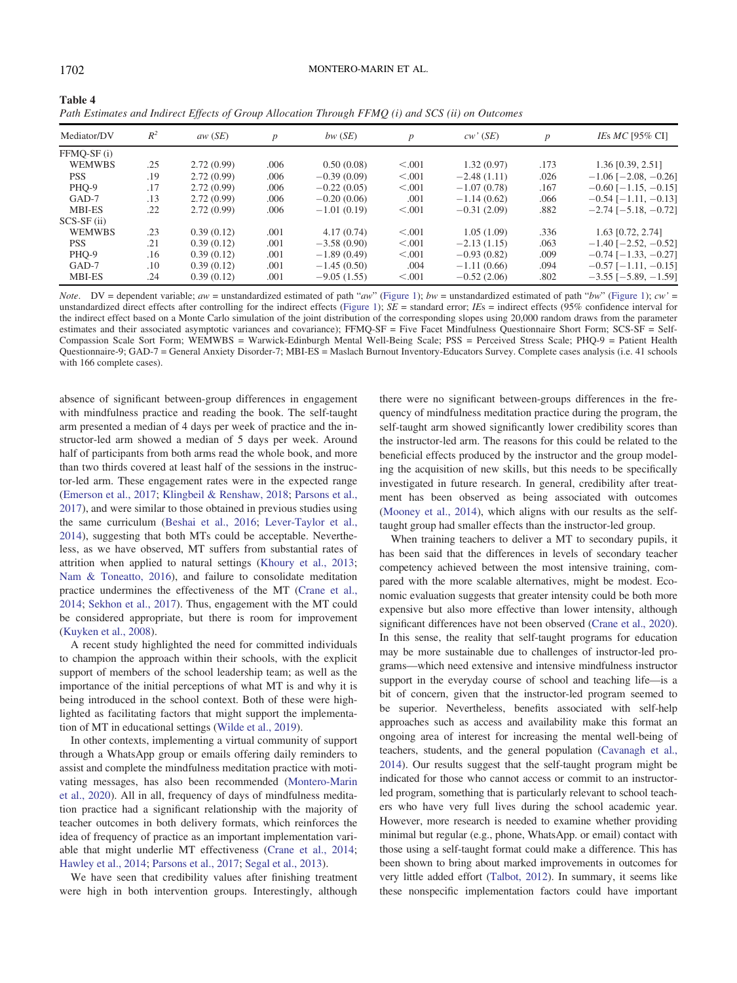<span id="page-13-0"></span>

| Table 4                                                                                           |  |
|---------------------------------------------------------------------------------------------------|--|
| Path Estimates and Indirect Effects of Group Allocation Through FFMQ (i) and SCS (ii) on Outcomes |  |

| Mediator/DV   | $R^2$ | aw(SE)     | $\boldsymbol{p}$ | $bw$ (SE)     | $\boldsymbol{p}$ | cw'(SE)       | D    | IEs $MC$ [95% CI]             |
|---------------|-------|------------|------------------|---------------|------------------|---------------|------|-------------------------------|
| FFMO-SF (i)   |       |            |                  |               |                  |               |      |                               |
| <b>WEMWBS</b> | .25   | 2.72(0.99) | .006             | 0.50(0.08)    | < 0.001          | 1.32(0.97)    | .173 | 1.36 [0.39, 2.51]             |
| <b>PSS</b>    | .19   | 2.72(0.99) | .006             | $-0.39(0.09)$ | < 0.001          | $-2.48(1.11)$ | .026 | $-1.06$ [ $-2.08$ , $-0.26$ ] |
| PHO-9         | .17   | 2.72(0.99) | .006             | $-0.22(0.05)$ | < 0.001          | $-1.07(0.78)$ | .167 | $-0.60$ [ $-1.15, -0.15$ ]    |
| GAD-7         | .13   | 2.72(0.99) | .006             | $-0.20(0.06)$ | .001             | $-1.14(0.62)$ | .066 | $-0.54$ [ $-1.11, -0.13$ ]    |
| MBI-ES        | .22   | 2.72(0.99) | .006             | $-1.01(0.19)$ | < 0.001          | $-0.31(2.09)$ | .882 | $-2.74$ [ $-5.18$ , $-0.72$ ] |
| $SCS-SF(i)$   |       |            |                  |               |                  |               |      |                               |
| <b>WEMWBS</b> | .23   | 0.39(0.12) | .001             | 4.17(0.74)    | < 0.001          | 1.05(1.09)    | .336 | 1.63 [0.72, 2.74]             |
| <b>PSS</b>    | .21   | 0.39(0.12) | .001             | $-3.58(0.90)$ | < 0.001          | $-2.13(1.15)$ | .063 | $-1.40$ [ $-2.52, -0.52$ ]    |
| PHO-9         | .16   | 0.39(0.12) | .001             | $-1.89(0.49)$ | < 0.001          | $-0.93(0.82)$ | .009 | $-0.74$ [ $-1.33, -0.27$ ]    |
| $GAD-7$       | .10   | 0.39(0.12) | .001             | $-1.45(0.50)$ | .004             | $-1.11(0.66)$ | .094 | $-0.57$ [ $-1.11, -0.15$ ]    |
| <b>MBI-ES</b> | .24   | 0.39(0.12) | .001             | $-9.05(1.55)$ | < 0.001          | $-0.52(2.06)$ | .802 | $-3.55$ [ $-5.89$ , $-1.59$ ] |

Note. DV = dependent variable; aw = unstandardized estimated of path "aw" ([Figure 1](#page-9-0)); bw = unstandardized estimated of path "bw" (Figure 1); cw' = unstandardized direct effects after controlling for the indirect effects ([Figure 1](#page-9-0));  $SE =$  standard error;  $IES =$  indirect effects (95% confidence interval for the indirect effect based on a Monte Carlo simulation of the joint distribution of the corresponding slopes using 20,000 random draws from the parameter estimates and their associated asymptotic variances and covariance); FFMQ-SF = Five Facet Mindfulness Questionnaire Short Form; SCS-SF = Self-Compassion Scale Sort Form; WEMWBS = Warwick-Edinburgh Mental Well-Being Scale; PSS = Perceived Stress Scale; PHQ-9 = Patient Health Questionnaire-9; GAD-7 = General Anxiety Disorder-7; MBI-ES = Maslach Burnout Inventory-Educators Survey. Complete cases analysis (i.e. 41 schools with 166 complete cases).

absence of significant between-group differences in engagement with mindfulness practice and reading the book. The self-taught arm presented a median of 4 days per week of practice and the instructor-led arm showed a median of 5 days per week. Around half of participants from both arms read the whole book, and more than two thirds covered at least half of the sessions in the instructor-led arm. These engagement rates were in the expected range [\(Emerson et al., 2017;](#page-16-15) [Klingbeil & Renshaw, 2018;](#page-17-5) [Parsons et al.,](#page-18-4) [2017](#page-18-4)), and were similar to those obtained in previous studies using the same curriculum [\(Beshai et al., 2016;](#page-15-4) [Lever-Taylor et al.,](#page-17-8) [2014](#page-17-8)), suggesting that both MTs could be acceptable. Nevertheless, as we have observed, MT suffers from substantial rates of attrition when applied to natural settings ([Khoury et al., 2013;](#page-16-26) [Nam & Toneatto, 2016\)](#page-17-23), and failure to consolidate meditation practice undermines the effectiveness of the MT ([Crane et al.,](#page-16-7) [2014](#page-16-7); [Sekhon et al., 2017](#page-18-8)). Thus, engagement with the MT could be considered appropriate, but there is room for improvement [\(Kuyken et al., 2008\)](#page-17-24).

A recent study highlighted the need for committed individuals to champion the approach within their schools, with the explicit support of members of the school leadership team; as well as the importance of the initial perceptions of what MT is and why it is being introduced in the school context. Both of these were highlighted as facilitating factors that might support the implementation of MT in educational settings [\(Wilde et al., 2019](#page-19-2)).

In other contexts, implementing a virtual community of support through a WhatsApp group or emails offering daily reminders to assist and complete the mindfulness meditation practice with motivating messages, has also been recommended [\(Montero-Marin](#page-17-25) [et al., 2020](#page-17-25)). All in all, frequency of days of mindfulness meditation practice had a significant relationship with the majority of teacher outcomes in both delivery formats, which reinforces the idea of frequency of practice as an important implementation variable that might underlie MT effectiveness ([Crane et al., 2014;](#page-16-7) [Hawley et al., 2014](#page-16-8); [Parsons et al., 2017;](#page-18-4) [Segal et al., 2013\)](#page-18-3).

We have seen that credibility values after finishing treatment were high in both intervention groups. Interestingly, although

there were no significant between-groups differences in the frequency of mindfulness meditation practice during the program, the self-taught arm showed significantly lower credibility scores than the instructor-led arm. The reasons for this could be related to the beneficial effects produced by the instructor and the group modeling the acquisition of new skills, but this needs to be specifically investigated in future research. In general, credibility after treatment has been observed as being associated with outcomes ([Mooney et al., 2014\)](#page-17-26), which aligns with our results as the selftaught group had smaller effects than the instructor-led group.

When training teachers to deliver a MT to secondary pupils, it has been said that the differences in levels of secondary teacher competency achieved between the most intensive training, compared with the more scalable alternatives, might be modest. Economic evaluation suggests that greater intensity could be both more expensive but also more effective than lower intensity, although significant differences have not been observed [\(Crane et al., 2020\)](#page-16-2). In this sense, the reality that self-taught programs for education may be more sustainable due to challenges of instructor-led programs—which need extensive and intensive mindfulness instructor support in the everyday course of school and teaching life—is a bit of concern, given that the instructor-led program seemed to be superior. Nevertheless, benefits associated with self-help approaches such as access and availability make this format an ongoing area of interest for increasing the mental well-being of teachers, students, and the general population ([Cavanagh et al.,](#page-15-3) [2014\)](#page-15-3). Our results suggest that the self-taught program might be indicated for those who cannot access or commit to an instructorled program, something that is particularly relevant to school teachers who have very full lives during the school academic year. However, more research is needed to examine whether providing minimal but regular (e.g., phone, WhatsApp. or email) contact with those using a self-taught format could make a difference. This has been shown to bring about marked improvements in outcomes for very little added effort [\(Talbot, 2012](#page-18-25)). In summary, it seems like these nonspecific implementation factors could have important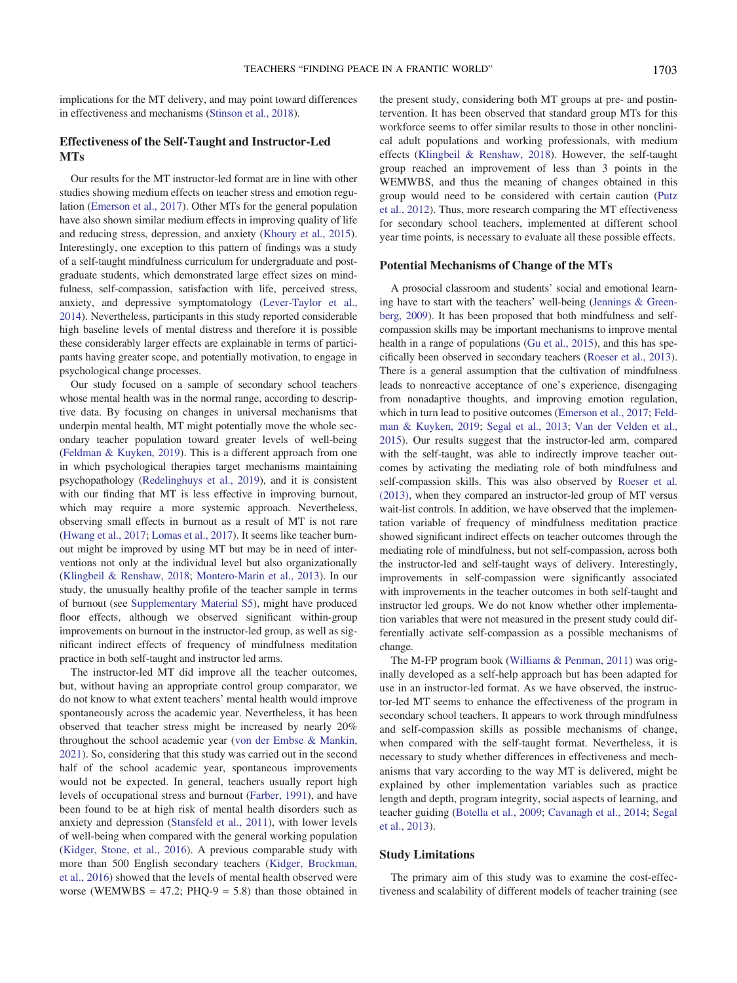implications for the MT delivery, and may point toward differences in effectiveness and mechanisms ([Stinson et al., 2018\)](#page-18-26).

# Effectiveness of the Self-Taught and Instructor-Led **MTs**

Our results for the MT instructor-led format are in line with other studies showing medium effects on teacher stress and emotion regulation [\(Emerson et al., 2017\)](#page-16-15). Other MTs for the general population have also shown similar medium effects in improving quality of life and reducing stress, depression, and anxiety [\(Khoury et al., 2015\)](#page-16-27). Interestingly, one exception to this pattern of findings was a study of a self-taught mindfulness curriculum for undergraduate and postgraduate students, which demonstrated large effect sizes on mindfulness, self-compassion, satisfaction with life, perceived stress, anxiety, and depressive symptomatology [\(Lever-Taylor et al.,](#page-17-8) [2014\)](#page-17-8). Nevertheless, participants in this study reported considerable high baseline levels of mental distress and therefore it is possible these considerably larger effects are explainable in terms of participants having greater scope, and potentially motivation, to engage in psychological change processes.

Our study focused on a sample of secondary school teachers whose mental health was in the normal range, according to descriptive data. By focusing on changes in universal mechanisms that underpin mental health, MT might potentially move the whole secondary teacher population toward greater levels of well-being [\(Feldman & Kuyken, 2019](#page-16-3)). This is a different approach from one in which psychological therapies target mechanisms maintaining psychopathology ([Redelinghuys et al., 2019](#page-18-27)), and it is consistent with our finding that MT is less effective in improving burnout, which may require a more systemic approach. Nevertheless, observing small effects in burnout as a result of MT is not rare [\(Hwang et al., 2017;](#page-16-28) [Lomas et al., 2017\)](#page-17-6). It seems like teacher burnout might be improved by using MT but may be in need of interventions not only at the individual level but also organizationally [\(Klingbeil & Renshaw, 2018;](#page-17-5) [Montero-Marin et al., 2013](#page-17-27)). In our study, the unusually healthy profile of the teacher sample in terms of burnout (see [Supplementary Material S5](https://doi.org/10.1037/edu0000542.supp)), might have produced floor effects, although we observed significant within-group improvements on burnout in the instructor-led group, as well as significant indirect effects of frequency of mindfulness meditation practice in both self-taught and instructor led arms.

The instructor-led MT did improve all the teacher outcomes, but, without having an appropriate control group comparator, we do not know to what extent teachers' mental health would improve spontaneously across the academic year. Nevertheless, it has been observed that teacher stress might be increased by nearly 20% throughout the school academic year [\(von der Embse & Mankin,](#page-18-28) [2021](#page-18-28)). So, considering that this study was carried out in the second half of the school academic year, spontaneous improvements would not be expected. In general, teachers usually report high levels of occupational stress and burnout [\(Farber, 1991\)](#page-16-29), and have been found to be at high risk of mental health disorders such as anxiety and depression [\(Stansfeld et al., 2011](#page-18-29)), with lower levels of well-being when compared with the general working population [\(Kidger, Stone, et al., 2016](#page-17-0)). A previous comparable study with more than 500 English secondary teachers [\(Kidger, Brockman,](#page-16-30) [et al., 2016](#page-16-30)) showed that the levels of mental health observed were worse (WEMWBS = 47.2; PHO-9 = 5.8) than those obtained in the present study, considering both MT groups at pre- and postintervention. It has been observed that standard group MTs for this workforce seems to offer similar results to those in other nonclinical adult populations and working professionals, with medium effects [\(Klingbeil & Renshaw, 2018\)](#page-17-5). However, the self-taught group reached an improvement of less than 3 points in the WEMWBS, and thus the meaning of changes obtained in this group would need to be considered with certain caution [\(Putz](#page-18-30) [et al., 2012](#page-18-30)). Thus, more research comparing the MT effectiveness for secondary school teachers, implemented at different school year time points, is necessary to evaluate all these possible effects.

# Potential Mechanisms of Change of the MTs

A prosocial classroom and students' social and emotional learning have to start with the teachers' well-being ([Jennings & Green](#page-16-13)[berg, 2009\)](#page-16-13). It has been proposed that both mindfulness and selfcompassion skills may be important mechanisms to improve mental health in a range of populations [\(Gu et al., 2015](#page-16-14)), and this has specifically been observed in secondary teachers [\(Roeser et al., 2013\)](#page-18-6). There is a general assumption that the cultivation of mindfulness leads to nonreactive acceptance of one's experience, disengaging from nonadaptive thoughts, and improving emotion regulation, which in turn lead to positive outcomes [\(Emerson et al., 2017;](#page-16-15) [Feld](#page-16-3)[man & Kuyken, 2019;](#page-16-3) [Segal et al., 2013](#page-18-3); [Van der Velden et al.,](#page-18-10) [2015\)](#page-18-10). Our results suggest that the instructor-led arm, compared with the self-taught, was able to indirectly improve teacher outcomes by activating the mediating role of both mindfulness and self-compassion skills. This was also observed by [Roeser et al.](#page-18-6) [\(2013\),](#page-18-6) when they compared an instructor-led group of MT versus wait-list controls. In addition, we have observed that the implementation variable of frequency of mindfulness meditation practice showed significant indirect effects on teacher outcomes through the mediating role of mindfulness, but not self-compassion, across both the instructor-led and self-taught ways of delivery. Interestingly, improvements in self-compassion were significantly associated with improvements in the teacher outcomes in both self-taught and instructor led groups. We do not know whether other implementation variables that were not measured in the present study could differentially activate self-compassion as a possible mechanisms of change.

The M-FP program book ([Williams & Penman, 2011\)](#page-19-0) was originally developed as a self-help approach but has been adapted for use in an instructor-led format. As we have observed, the instructor-led MT seems to enhance the effectiveness of the program in secondary school teachers. It appears to work through mindfulness and self-compassion skills as possible mechanisms of change, when compared with the self-taught format. Nevertheless, it is necessary to study whether differences in effectiveness and mechanisms that vary according to the way MT is delivered, might be explained by other implementation variables such as practice length and depth, program integrity, social aspects of learning, and teacher guiding [\(Botella et al., 2009;](#page-15-8) [Cavanagh et al., 2014;](#page-15-3) [Segal](#page-18-3) [et al., 2013\)](#page-18-3).

#### Study Limitations

The primary aim of this study was to examine the cost-effectiveness and scalability of different models of teacher training (see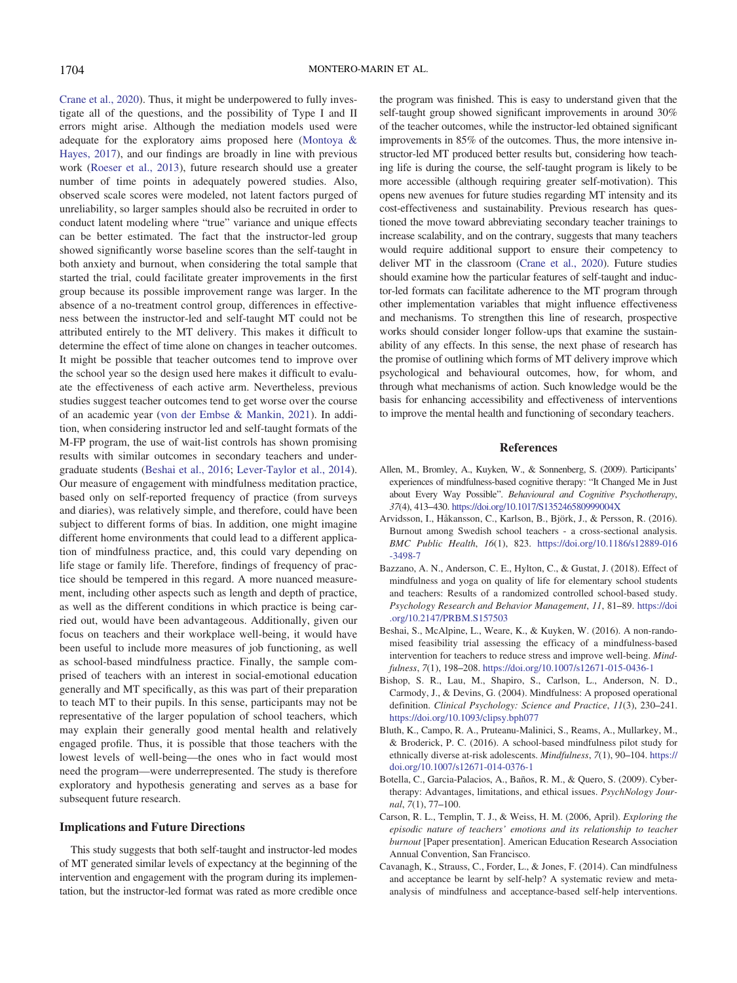[Crane et al., 2020](#page-16-2)). Thus, it might be underpowered to fully investigate all of the questions, and the possibility of Type I and II errors might arise. Although the mediation models used were adequate for the exploratory aims proposed here ([Montoya &](#page-17-28) [Hayes, 2017\)](#page-17-28), and our findings are broadly in line with previous work [\(Roeser et al., 2013\)](#page-18-6), future research should use a greater number of time points in adequately powered studies. Also, observed scale scores were modeled, not latent factors purged of unreliability, so larger samples should also be recruited in order to conduct latent modeling where "true" variance and unique effects can be better estimated. The fact that the instructor-led group showed significantly worse baseline scores than the self-taught in both anxiety and burnout, when considering the total sample that started the trial, could facilitate greater improvements in the first group because its possible improvement range was larger. In the absence of a no-treatment control group, differences in effectiveness between the instructor-led and self-taught MT could not be attributed entirely to the MT delivery. This makes it difficult to determine the effect of time alone on changes in teacher outcomes. It might be possible that teacher outcomes tend to improve over the school year so the design used here makes it difficult to evaluate the effectiveness of each active arm. Nevertheless, previous studies suggest teacher outcomes tend to get worse over the course of an academic year [\(von der Embse & Mankin, 2021](#page-18-28)). In addition, when considering instructor led and self-taught formats of the M-FP program, the use of wait-list controls has shown promising results with similar outcomes in secondary teachers and undergraduate students [\(Beshai et al., 2016](#page-15-4); [Lever-Taylor et al., 2014\)](#page-17-8). Our measure of engagement with mindfulness meditation practice, based only on self-reported frequency of practice (from surveys and diaries), was relatively simple, and therefore, could have been subject to different forms of bias. In addition, one might imagine different home environments that could lead to a different application of mindfulness practice, and, this could vary depending on life stage or family life. Therefore, findings of frequency of practice should be tempered in this regard. A more nuanced measurement, including other aspects such as length and depth of practice, as well as the different conditions in which practice is being carried out, would have been advantageous. Additionally, given our focus on teachers and their workplace well-being, it would have been useful to include more measures of job functioning, as well as school-based mindfulness practice. Finally, the sample comprised of teachers with an interest in social-emotional education generally and MT specifically, as this was part of their preparation to teach MT to their pupils. In this sense, participants may not be representative of the larger population of school teachers, which may explain their generally good mental health and relatively engaged profile. Thus, it is possible that those teachers with the lowest levels of well-being—the ones who in fact would most need the program—were underrepresented. The study is therefore exploratory and hypothesis generating and serves as a base for subsequent future research.

# Implications and Future Directions

This study suggests that both self-taught and instructor-led modes of MT generated similar levels of expectancy at the beginning of the intervention and engagement with the program during its implementation, but the instructor-led format was rated as more credible once

the program was finished. This is easy to understand given that the self-taught group showed significant improvements in around 30% of the teacher outcomes, while the instructor-led obtained significant improvements in 85% of the outcomes. Thus, the more intensive instructor-led MT produced better results but, considering how teaching life is during the course, the self-taught program is likely to be more accessible (although requiring greater self-motivation). This opens new avenues for future studies regarding MT intensity and its cost-effectiveness and sustainability. Previous research has questioned the move toward abbreviating secondary teacher trainings to increase scalability, and on the contrary, suggests that many teachers would require additional support to ensure their competency to deliver MT in the classroom [\(Crane et al., 2020](#page-16-2)). Future studies should examine how the particular features of self-taught and inductor-led formats can facilitate adherence to the MT program through other implementation variables that might influence effectiveness and mechanisms. To strengthen this line of research, prospective works should consider longer follow-ups that examine the sustainability of any effects. In this sense, the next phase of research has the promise of outlining which forms of MT delivery improve which psychological and behavioural outcomes, how, for whom, and through what mechanisms of action. Such knowledge would be the basis for enhancing accessibility and effectiveness of interventions to improve the mental health and functioning of secondary teachers.

### References

- <span id="page-15-6"></span>Allen, M., Bromley, A., Kuyken, W., & Sonnenberg, S. (2009). Participants' experiences of mindfulness-based cognitive therapy: "It Changed Me in Just about Every Way Possible". Behavioural and Cognitive Psychotherapy, 37(4), 413–430. <https://doi.org/10.1017/S135246580999004X>
- <span id="page-15-0"></span>Arvidsson, I., Håkansson, C., Karlson, B., Björk, J., & Persson, R. (2016). Burnout among Swedish school teachers - a cross-sectional analysis. BMC Public Health, 16(1), 823. [https://doi.org/10.1186/s12889-016](https://doi.org/10.1186/s12889-016-3498-7) [-3498-7](https://doi.org/10.1186/s12889-016-3498-7)
- <span id="page-15-2"></span>Bazzano, A. N., Anderson, C. E., Hylton, C., & Gustat, J. (2018). Effect of mindfulness and yoga on quality of life for elementary school students and teachers: Results of a randomized controlled school-based study. Psychology Research and Behavior Management, 11, 81–89. [https://doi](https://doi.org/10.2147/PRBM.S157503) [.org/10.2147/PRBM.S157503](https://doi.org/10.2147/PRBM.S157503)
- <span id="page-15-4"></span>Beshai, S., McAlpine, L., Weare, K., & Kuyken, W. (2016). A non-randomised feasibility trial assessing the efficacy of a mindfulness-based intervention for teachers to reduce stress and improve well-being. Mindfulness, 7(1), 198–208. <https://doi.org/10.1007/s12671-015-0436-1>
- <span id="page-15-1"></span>Bishop, S. R., Lau, M., Shapiro, S., Carlson, L., Anderson, N. D., Carmody, J., & Devins, G. (2004). Mindfulness: A proposed operational definition. Clinical Psychology: Science and Practice, 11(3), 230–241. <https://doi.org/10.1093/clipsy.bph077>
- <span id="page-15-7"></span>Bluth, K., Campo, R. A., Pruteanu-Malinici, S., Reams, A., Mullarkey, M., & Broderick, P. C. (2016). A school-based mindfulness pilot study for ethnically diverse at-risk adolescents. Mindfulness, 7(1), 90–104. [https://](https://doi.org/10.1007/s12671-014-0376-1) [doi.org/10.1007/s12671-014-0376-1](https://doi.org/10.1007/s12671-014-0376-1)
- <span id="page-15-8"></span>Botella, C., Garcia-Palacios, A., Baños, R. M., & Quero, S. (2009). Cybertherapy: Advantages, limitations, and ethical issues. PsychNology Journal, 7(1), 77–100.
- <span id="page-15-5"></span>Carson, R. L., Templin, T. J., & Weiss, H. M. (2006, April). Exploring the episodic nature of teachers' emotions and its relationship to teacher burnout [Paper presentation]. American Education Research Association Annual Convention, San Francisco.
- <span id="page-15-3"></span>Cavanagh, K., Strauss, C., Forder, L., & Jones, F. (2014). Can mindfulness and acceptance be learnt by self-help? A systematic review and metaanalysis of mindfulness and acceptance-based self-help interventions.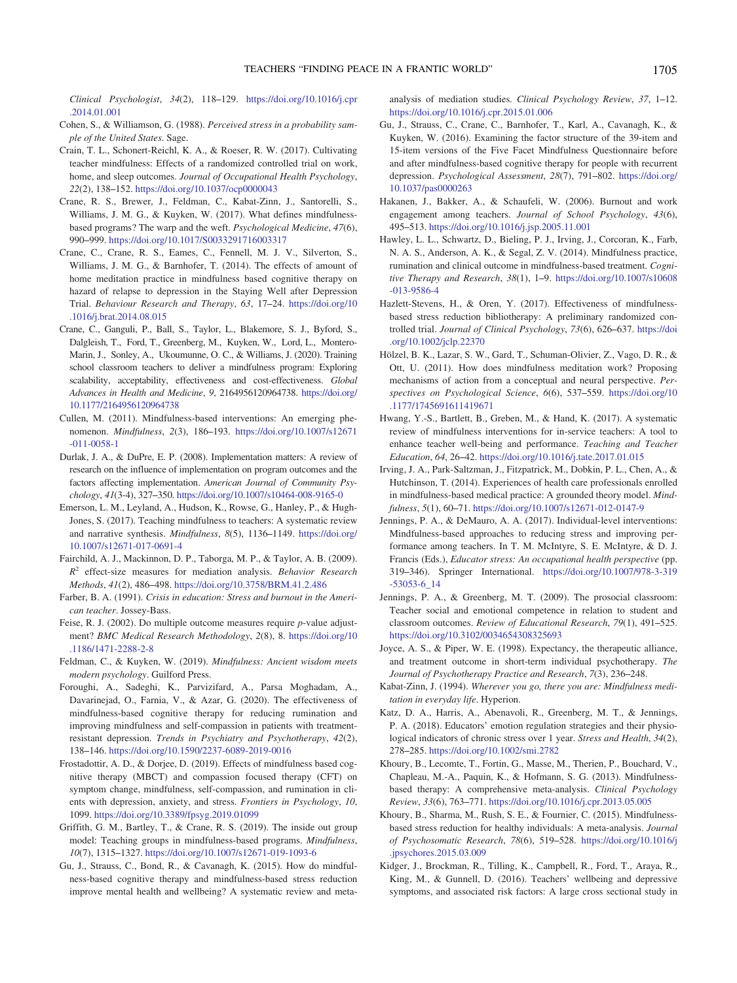Clinical Psychologist, 34(2), 118–129. [https://doi.org/10.1016/j.cpr](https://doi.org/10.1016/j.cpr.2014.01.001) [.2014.01.001](https://doi.org/10.1016/j.cpr.2014.01.001)

- <span id="page-16-21"></span>Cohen, S., & Williamson, G. (1988). Perceived stress in a probability sample of the United States. Sage.
- <span id="page-16-6"></span>Crain, T. L., Schonert-Reichl, K. A., & Roeser, R. W. (2017). Cultivating teacher mindfulness: Effects of a randomized controlled trial on work, home, and sleep outcomes. Journal of Occupational Health Psychology, 22(2), 138–152. <https://doi.org/10.1037/ocp0000043>
- <span id="page-16-4"></span>Crane, R. S., Brewer, J., Feldman, C., Kabat-Zinn, J., Santorelli, S., Williams, J. M. G., & Kuyken, W. (2017). What defines mindfulnessbased programs? The warp and the weft. Psychological Medicine, 47(6), 990–999. <https://doi.org/10.1017/S0033291716003317>
- <span id="page-16-7"></span>Crane, C., Crane, R. S., Eames, C., Fennell, M. J. V., Silverton, S., Williams, J. M. G., & Barnhofer, T. (2014). The effects of amount of home meditation practice in mindfulness based cognitive therapy on hazard of relapse to depression in the Staying Well after Depression Trial. Behaviour Research and Therapy, 63, 17–24. [https://doi.org/10](https://doi.org/10.1016/j.brat.2014.08.015) [.1016/j.brat.2014.08.015](https://doi.org/10.1016/j.brat.2014.08.015)
- <span id="page-16-2"></span>Crane, C., Ganguli, P., Ball, S., Taylor, L., Blakemore, S. J., Byford, S., Dalgleish, T., Ford, T., Greenberg, M., Kuyken, W., Lord, L., Montero-Marin, J., Sonley, A., Ukoumunne, O. C., & Williams, J. (2020). Training school classroom teachers to deliver a mindfulness program: Exploring scalability, acceptability, effectiveness and cost-effectiveness. Global Advances in Health and Medicine, 9, 2164956120964738. [https://doi.org/](https://doi.org/10.1177/2164956120964738) [10.1177/2164956120964738](https://doi.org/10.1177/2164956120964738)
- <span id="page-16-12"></span>Cullen, M. (2011). Mindfulness-based interventions: An emerging phenomenon. Mindfulness, 2(3), 186–193. [https://doi.org/10.1007/s12671](https://doi.org/10.1007/s12671-011-0058-1) [-011-0058-1](https://doi.org/10.1007/s12671-011-0058-1)
- <span id="page-16-10"></span>Durlak, J. A., & DuPre, E. P. (2008). Implementation matters: A review of research on the influence of implementation on program outcomes and the factors affecting implementation. American Journal of Community Psychology, 41(3-4), 327–350. <https://doi.org/10.1007/s10464-008-9165-0>
- <span id="page-16-15"></span>Emerson, L. M., Leyland, A., Hudson, K., Rowse, G., Hanley, P., & Hugh-Jones, S. (2017). Teaching mindfulness to teachers: A systematic review and narrative synthesis. Mindfulness, 8(5), 1136–1149. [https://doi.org/](https://doi.org/10.1007/s12671-017-0691-4) [10.1007/s12671-017-0691-4](https://doi.org/10.1007/s12671-017-0691-4)
- <span id="page-16-22"></span>Fairchild, A. J., Mackinnon, D. P., Taborga, M. P., & Taylor, A. B. (2009).  $R<sup>2</sup>$  effect-size measures for mediation analysis. Behavior Research Methods, 41(2), 486–498. <https://doi.org/10.3758/BRM.41.2.486>
- <span id="page-16-29"></span>Farber, B. A. (1991). Crisis in education: Stress and burnout in the American teacher. Jossey-Bass.
- <span id="page-16-23"></span>Feise, R. J. (2002). Do multiple outcome measures require p-value adjustment? BMC Medical Research Methodology, 2(8), 8. [https://doi.org/10](https://doi.org/10.1186/1471-2288-2-8) [.1186/1471-2288-2-8](https://doi.org/10.1186/1471-2288-2-8)
- <span id="page-16-3"></span>Feldman, C., & Kuyken, W. (2019). Mindfulness: Ancient wisdom meets modern psychology. Guilford Press.
- <span id="page-16-17"></span>Foroughi, A., Sadeghi, K., Parvizifard, A., Parsa Moghadam, A., Davarinejad, O., Farnia, V., & Azar, G. (2020). The effectiveness of mindfulness-based cognitive therapy for reducing rumination and improving mindfulness and self-compassion in patients with treatmentresistant depression. Trends in Psychiatry and Psychotherapy, 42(2), 138–146. <https://doi.org/10.1590/2237-6089-2019-0016>
- <span id="page-16-18"></span>Frostadottir, A. D., & Dorjee, D. (2019). Effects of mindfulness based cognitive therapy (MBCT) and compassion focused therapy (CFT) on symptom change, mindfulness, self-compassion, and rumination in clients with depression, anxiety, and stress. Frontiers in Psychology, 10, 1099. <https://doi.org/10.3389/fpsyg.2019.01099>
- <span id="page-16-19"></span>Griffith, G. M., Bartley, T., & Crane, R. S. (2019). The inside out group model: Teaching groups in mindfulness-based programs. Mindfulness, 10(7), 1315–1327. <https://doi.org/10.1007/s12671-019-1093-6>
- <span id="page-16-14"></span>Gu, J., Strauss, C., Bond, R., & Cavanagh, K. (2015). How do mindfulness-based cognitive therapy and mindfulness-based stress reduction improve mental health and wellbeing? A systematic review and meta-

analysis of mediation studies. Clinical Psychology Review, 37, 1–12. <https://doi.org/10.1016/j.cpr.2015.01.006>

- <span id="page-16-20"></span>Gu, J., Strauss, C., Crane, C., Barnhofer, T., Karl, A., Cavanagh, K., & Kuyken, W. (2016). Examining the factor structure of the 39-item and 15-item versions of the Five Facet Mindfulness Questionnaire before and after mindfulness-based cognitive therapy for people with recurrent depression. Psychological Assessment, 28(7), 791–802. [https://doi.org/](https://doi.org/10.1037/pas0000263) [10.1037/pas0000263](https://doi.org/10.1037/pas0000263)
- <span id="page-16-0"></span>Hakanen, J., Bakker, A., & Schaufeli, W. (2006). Burnout and work engagement among teachers. Journal of School Psychology, 43(6), 495–513. <https://doi.org/10.1016/j.jsp.2005.11.001>
- <span id="page-16-8"></span>Hawley, L. L., Schwartz, D., Bieling, P. J., Irving, J., Corcoran, K., Farb, N. A. S., Anderson, A. K., & Segal, Z. V. (2014). Mindfulness practice, rumination and clinical outcome in mindfulness-based treatment. Cognitive Therapy and Research, 38(1), 1–9. [https://doi.org/10.1007/s10608](https://doi.org/10.1007/s10608-013-9586-4) [-013-9586-4](https://doi.org/10.1007/s10608-013-9586-4)
- <span id="page-16-9"></span>Hazlett-Stevens, H., & Oren, Y. (2017). Effectiveness of mindfulnessbased stress reduction bibliotherapy: A preliminary randomized controlled trial. Journal of Clinical Psychology, 73(6), 626–637. [https://doi](https://doi.org/10.1002/jclp.22370) [.org/10.1002/jclp.22370](https://doi.org/10.1002/jclp.22370)
- <span id="page-16-16"></span>Hölzel, B. K., Lazar, S. W., Gard, T., Schuman-Olivier, Z., Vago, D. R., & Ott, U. (2011). How does mindfulness meditation work? Proposing mechanisms of action from a conceptual and neural perspective. Perspectives on Psychological Science, 6(6), 537–559. [https://doi.org/10](https://doi.org/10.1177/1745691611419671) [.1177/1745691611419671](https://doi.org/10.1177/1745691611419671)
- <span id="page-16-28"></span>Hwang, Y.-S., Bartlett, B., Greben, M., & Hand, K. (2017). A systematic review of mindfulness interventions for in-service teachers: A tool to enhance teacher well-being and performance. Teaching and Teacher Education, 64, 26–42. <https://doi.org/10.1016/j.tate.2017.01.015>
- <span id="page-16-24"></span>Irving, J. A., Park-Saltzman, J., Fitzpatrick, M., Dobkin, P. L., Chen, A., & Hutchinson, T. (2014). Experiences of health care professionals enrolled in mindfulness-based medical practice: A grounded theory model. Mindfulness, 5(1), 60–71. <https://doi.org/10.1007/s12671-012-0147-9>
- <span id="page-16-5"></span>Jennings, P. A., & DeMauro, A. A. (2017). Individual-level interventions: Mindfulness-based approaches to reducing stress and improving performance among teachers. In T. M. McIntyre, S. E. McIntyre, & D. J. Francis (Eds.), Educator stress: An occupational health perspective (pp. 319–346). Springer International. [https://doi.org/10.1007/978-3-319](https://doi.org/10.1007/978-3-319-53053-6_14) [-53053-6\\_14](https://doi.org/10.1007/978-3-319-53053-6_14)
- <span id="page-16-13"></span>Jennings, P. A., & Greenberg, M. T. (2009). The prosocial classroom: Teacher social and emotional competence in relation to student and classroom outcomes. Review of Educational Research, 79(1), 491–525. <https://doi.org/10.3102/0034654308325693>
- <span id="page-16-25"></span>Joyce, A. S., & Piper, W. E. (1998). Expectancy, the therapeutic alliance, and treatment outcome in short-term individual psychotherapy. The Journal of Psychotherapy Practice and Research, 7(3), 236–248.
- <span id="page-16-11"></span>Kabat-Zinn, J. (1994). Wherever you go, there you are: Mindfulness meditation in everyday life. Hyperion.
- <span id="page-16-1"></span>Katz, D. A., Harris, A., Abenavoli, R., Greenberg, M. T., & Jennings, P. A. (2018). Educators' emotion regulation strategies and their physiological indicators of chronic stress over 1 year. Stress and Health, 34(2), 278–285. <https://doi.org/10.1002/smi.2782>
- <span id="page-16-26"></span>Khoury, B., Lecomte, T., Fortin, G., Masse, M., Therien, P., Bouchard, V., Chapleau, M.-A., Paquin, K., & Hofmann, S. G. (2013). Mindfulnessbased therapy: A comprehensive meta-analysis. Clinical Psychology Review, 33(6), 763–771. <https://doi.org/10.1016/j.cpr.2013.05.005>
- <span id="page-16-27"></span>Khoury, B., Sharma, M., Rush, S. E., & Fournier, C. (2015). Mindfulnessbased stress reduction for healthy individuals: A meta-analysis. Journal of Psychosomatic Research, 78(6), 519–528. [https://doi.org/10.1016/j](https://doi.org/10.1016/j.jpsychores.2015.03.009) [.jpsychores.2015.03.009](https://doi.org/10.1016/j.jpsychores.2015.03.009)
- <span id="page-16-30"></span>Kidger, J., Brockman, R., Tilling, K., Campbell, R., Ford, T., Araya, R., King, M., & Gunnell, D. (2016). Teachers' wellbeing and depressive symptoms, and associated risk factors: A large cross sectional study in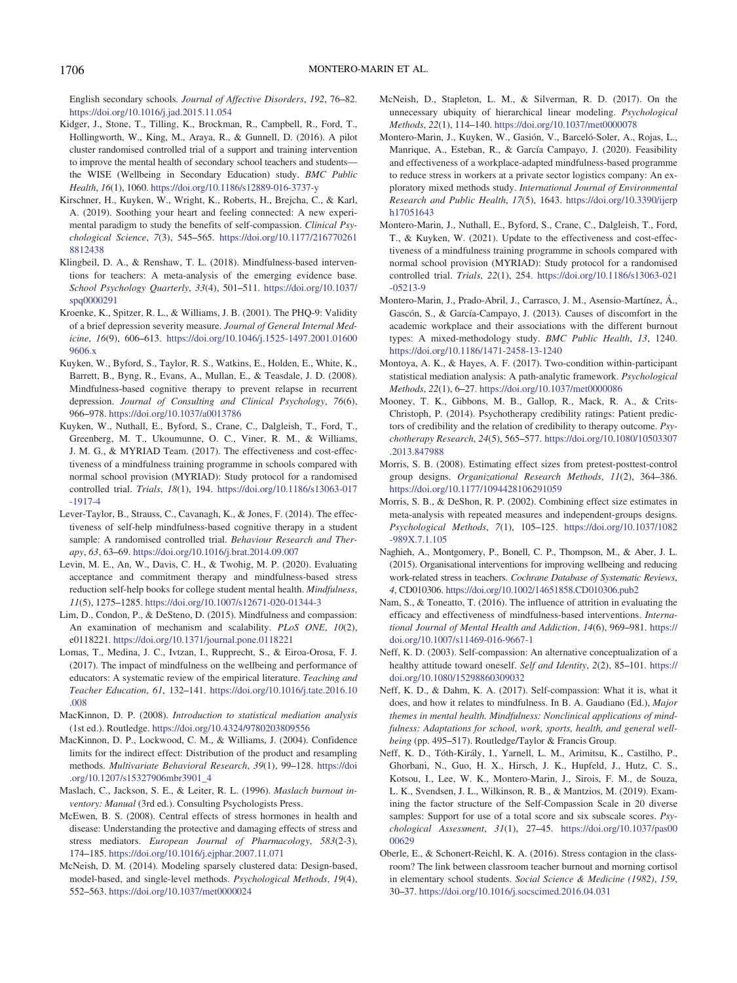English secondary schools. Journal of Affective Disorders, 192, 76–82. <https://doi.org/10.1016/j.jad.2015.11.054>

- <span id="page-17-0"></span>Kidger, J., Stone, T., Tilling, K., Brockman, R., Campbell, R., Ford, T., Hollingworth, W., King, M., Araya, R., & Gunnell, D. (2016). A pilot cluster randomised controlled trial of a support and training intervention to improve the mental health of secondary school teachers and students the WISE (Wellbeing in Secondary Education) study. BMC Public Health, 16(1), 1060. <https://doi.org/10.1186/s12889-016-3737-y>
- <span id="page-17-11"></span>Kirschner, H., Kuyken, W., Wright, K., Roberts, H., Brejcha, C., & Karl, A. (2019). Soothing your heart and feeling connected: A new experimental paradigm to study the benefits of self-compassion. Clinical Psychological Science, 7(3), 545–565. [https://doi.org/10.1177/216770261](https://doi.org/10.1177/2167702618812438) [8812438](https://doi.org/10.1177/2167702618812438)
- <span id="page-17-5"></span>Klingbeil, D. A., & Renshaw, T. L. (2018). Mindfulness-based interventions for teachers: A meta-analysis of the emerging evidence base. School Psychology Quarterly, 33(4), 501–511. [https://doi.org/10.1037/](https://doi.org/10.1037/spq0000291) [spq0000291](https://doi.org/10.1037/spq0000291)
- <span id="page-17-15"></span>Kroenke, K., Spitzer, R. L., & Williams, J. B. (2001). The PHQ-9: Validity of a brief depression severity measure. Journal of General Internal Medicine, 16(9), 606–613. [https://doi.org/10.1046/j.1525-1497.2001.01600](https://doi.org/10.1046/j.1525-1497.2001.016009606.x) [9606.x](https://doi.org/10.1046/j.1525-1497.2001.016009606.x)
- <span id="page-17-24"></span>Kuyken, W., Byford, S., Taylor, R. S., Watkins, E., Holden, E., White, K., Barrett, B., Byng, R., Evans, A., Mullan, E., & Teasdale, J. D. (2008). Mindfulness-based cognitive therapy to prevent relapse in recurrent depression. Journal of Consulting and Clinical Psychology, 76(6), 966–978. <https://doi.org/10.1037/a0013786>
- <span id="page-17-3"></span>Kuyken, W., Nuthall, E., Byford, S., Crane, C., Dalgleish, T., Ford, T., Greenberg, M. T., Ukoumunne, O. C., Viner, R. M., & Williams, J. M. G., & MYRIAD Team. (2017). The effectiveness and cost-effectiveness of a mindfulness training programme in schools compared with normal school provision (MYRIAD): Study protocol for a randomised controlled trial. Trials, 18(1), 194. [https://doi.org/10.1186/s13063-017](https://doi.org/10.1186/s13063-017-1917-4) [-1917-4](https://doi.org/10.1186/s13063-017-1917-4)
- <span id="page-17-8"></span>Lever-Taylor, B., Strauss, C., Cavanagh, K., & Jones, F. (2014). The effectiveness of self-help mindfulness-based cognitive therapy in a student sample: A randomised controlled trial. Behaviour Research and Therapy, 63, 63–69. <https://doi.org/10.1016/j.brat.2014.09.007>
- <span id="page-17-9"></span>Levin, M. E., An, W., Davis, C. H., & Twohig, M. P. (2020). Evaluating acceptance and commitment therapy and mindfulness-based stress reduction self-help books for college student mental health. Mindfulness, 11(5), 1275–1285. <https://doi.org/10.1007/s12671-020-01344-3>
- <span id="page-17-7"></span>Lim, D., Condon, P., & DeSteno, D. (2015). Mindfulness and compassion: An examination of mechanism and scalability. PLoS ONE, 10(2), e0118221. <https://doi.org/10.1371/journal.pone.0118221>
- <span id="page-17-6"></span>Lomas, T., Medina, J. C., Ivtzan, I., Rupprecht, S., & Eiroa-Orosa, F. J. (2017). The impact of mindfulness on the wellbeing and performance of educators: A systematic review of the empirical literature. Teaching and Teacher Education, 61, 132–141. [https://doi.org/10.1016/j.tate.2016.10](https://doi.org/10.1016/j.tate.2016.10.008) [.008](https://doi.org/10.1016/j.tate.2016.10.008)
- <span id="page-17-22"></span>MacKinnon, D. P. (2008). Introduction to statistical mediation analysis (1st ed.). Routledge. <https://doi.org/10.4324/9780203809556>
- <span id="page-17-21"></span>MacKinnon, D. P., Lockwood, C. M., & Williams, J. (2004). Confidence limits for the indirect effect: Distribution of the product and resampling methods. Multivariate Behavioral Research, 39(1), 99–128. [https://doi](https://doi.org/10.1207/s15327906mbr3901_4) [.org/10.1207/s15327906mbr3901\\_4](https://doi.org/10.1207/s15327906mbr3901_4)
- <span id="page-17-16"></span>Maslach, C., Jackson, S. E., & Leiter, R. L. (1996). Maslach burnout inventory: Manual (3rd ed.). Consulting Psychologists Press.
- <span id="page-17-13"></span>McEwen, B. S. (2008). Central effects of stress hormones in health and disease: Understanding the protective and damaging effects of stress and stress mediators. European Journal of Pharmacology, 583(2-3), 174–185. <https://doi.org/10.1016/j.ejphar.2007.11.071>
- <span id="page-17-17"></span>McNeish, D. M. (2014). Modeling sparsely clustered data: Design-based, model-based, and single-level methods. Psychological Methods, 19(4), 552–563. <https://doi.org/10.1037/met0000024>
- <span id="page-17-20"></span>McNeish, D., Stapleton, L. M., & Silverman, R. D. (2017). On the unnecessary ubiquity of hierarchical linear modeling. Psychological Methods, 22(1), 114–140. <https://doi.org/10.1037/met0000078>
- <span id="page-17-25"></span>Montero-Marin, J., Kuyken, W., Gasión, V., Barceló-Soler, A., Rojas, L., Manrique, A., Esteban, R., & García Campayo, J. (2020). Feasibility and effectiveness of a workplace-adapted mindfulness-based programme to reduce stress in workers at a private sector logistics company: An exploratory mixed methods study. International Journal of Environmental Research and Public Health, 17(5), 1643. [https://doi.org/10.3390/ijerp](https://doi.org/10.3390/ijerph17051643) [h17051643](https://doi.org/10.3390/ijerph17051643)
- <span id="page-17-4"></span>Montero-Marin, J., Nuthall, E., Byford, S., Crane, C., Dalgleish, T., Ford, T., & Kuyken, W. (2021). Update to the effectiveness and cost-effectiveness of a mindfulness training programme in schools compared with normal school provision (MYRIAD): Study protocol for a randomised controlled trial. Trials, 22(1), 254. [https://doi.org/10.1186/s13063-021](https://doi.org/10.1186/s13063-021-05213-9) [-05213-9](https://doi.org/10.1186/s13063-021-05213-9)
- <span id="page-17-27"></span>Montero-Marin, J., Prado-Abril, J., Carrasco, J. M., Asensio-Martínez, Á., Gascón, S., & García-Campayo, J. (2013). Causes of discomfort in the academic workplace and their associations with the different burnout types: A mixed-methodology study. BMC Public Health, 13, 1240. <https://doi.org/10.1186/1471-2458-13-1240>
- <span id="page-17-28"></span>Montoya, A. K., & Hayes, A. F. (2017). Two-condition within-participant statistical mediation analysis: A path-analytic framework. Psychological Methods, 22(1), 6–27. <https://doi.org/10.1037/met0000086>
- <span id="page-17-26"></span>Mooney, T. K., Gibbons, M. B., Gallop, R., Mack, R. A., & Crits-Christoph, P. (2014). Psychotherapy credibility ratings: Patient predictors of credibility and the relation of credibility to therapy outcome. Psychotherapy Research, 24(5), 565–577. [https://doi.org/10.1080/10503307](https://doi.org/10.1080/10503307.2013.847988) [.2013.847988](https://doi.org/10.1080/10503307.2013.847988)
- <span id="page-17-19"></span>Morris, S. B. (2008). Estimating effect sizes from pretest-posttest-control group designs. Organizational Research Methods, 11(2), 364–386. <https://doi.org/10.1177/1094428106291059>
- <span id="page-17-18"></span>Morris, S. B., & DeShon, R. P. (2002). Combining effect size estimates in meta-analysis with repeated measures and independent-groups designs. Psychological Methods, 7(1), 105–125. [https://doi.org/10.1037/1082](https://doi.org/10.1037/1082-989X.7.1.105) [-989X.7.1.105](https://doi.org/10.1037/1082-989X.7.1.105)
- <span id="page-17-2"></span>Naghieh, A., Montgomery, P., Bonell, C. P., Thompson, M., & Aber, J. L. (2015). Organisational interventions for improving wellbeing and reducing work-related stress in teachers. Cochrane Database of Systematic Reviews, 4, CD010306. <https://doi.org/10.1002/14651858.CD010306.pub2>
- <span id="page-17-23"></span>Nam, S., & Toneatto, T. (2016). The influence of attrition in evaluating the efficacy and effectiveness of mindfulness-based interventions. International Journal of Mental Health and Addiction, 14(6), 969–981. [https://](https://doi.org/10.1007/s11469-016-9667-1) [doi.org/10.1007/s11469-016-9667-1](https://doi.org/10.1007/s11469-016-9667-1)
- <span id="page-17-10"></span>Neff, K. D. (2003). Self-compassion: An alternative conceptualization of a healthy attitude toward oneself. Self and Identity, 2(2), 85–101. [https://](https://doi.org/10.1080/15298860309032) [doi.org/10.1080/15298860309032](https://doi.org/10.1080/15298860309032)
- <span id="page-17-12"></span>Neff, K. D., & Dahm, K. A. (2017). Self-compassion: What it is, what it does, and how it relates to mindfulness. In B. A. Gaudiano (Ed.), Major themes in mental health. Mindfulness: Nonclinical applications of mindfulness: Adaptations for school, work, sports, health, and general wellbeing (pp. 495–517). Routledge/Taylor & Francis Group.
- <span id="page-17-14"></span>Neff, K. D., Tóth-Király, I., Yarnell, L. M., Arimitsu, K., Castilho, P., Ghorbani, N., Guo, H. X., Hirsch, J. K., Hupfeld, J., Hutz, C. S., Kotsou, I., Lee, W. K., Montero-Marin, J., Sirois, F. M., de Souza, L. K., Svendsen, J. L., Wilkinson, R. B., & Mantzios, M. (2019). Examining the factor structure of the Self-Compassion Scale in 20 diverse samples: Support for use of a total score and six subscale scores. Psychological Assessment, 31(1), 27–45. [https://doi.org/10.1037/pas00](https://doi.org/10.1037/pas0000629) [00629](https://doi.org/10.1037/pas0000629)
- <span id="page-17-1"></span>Oberle, E., & Schonert-Reichl, K. A. (2016). Stress contagion in the classroom? The link between classroom teacher burnout and morning cortisol in elementary school students. Social Science & Medicine (1982), 159, 30–37. <https://doi.org/10.1016/j.socscimed.2016.04.031>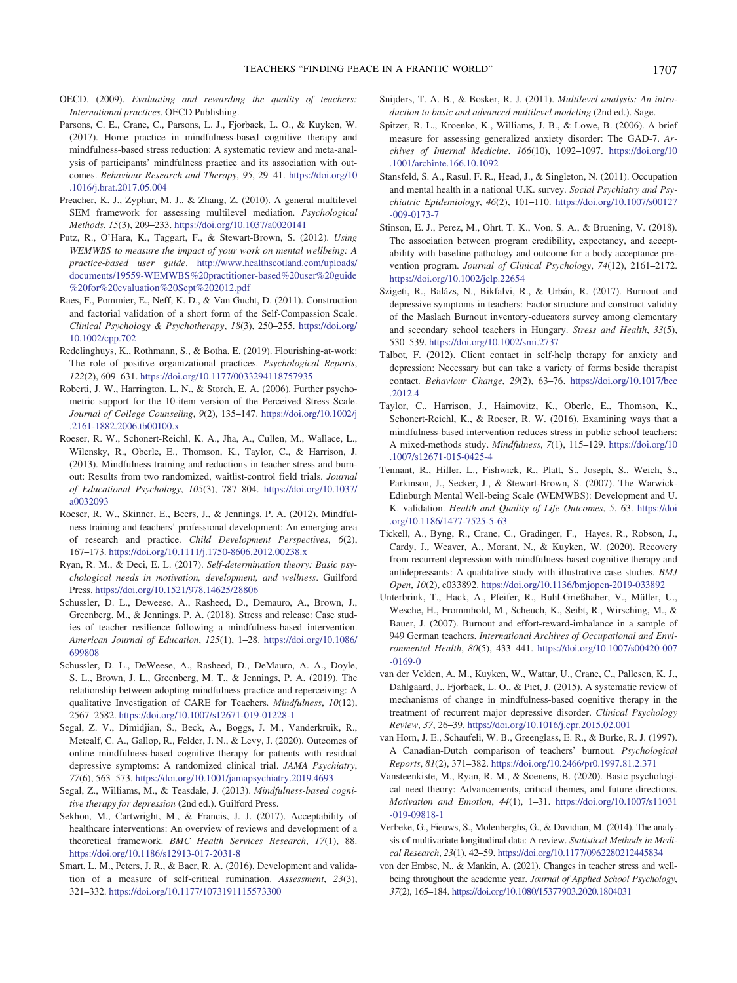- <span id="page-18-0"></span>OECD. (2009). Evaluating and rewarding the quality of teachers: International practices. OECD Publishing.
- <span id="page-18-4"></span>Parsons, C. E., Crane, C., Parsons, L. J., Fjorback, L. O., & Kuyken, W. (2017). Home practice in mindfulness-based cognitive therapy and mindfulness-based stress reduction: A systematic review and meta-analysis of participants' mindfulness practice and its association with outcomes. Behaviour Research and Therapy, 95, 29–41. [https://doi.org/10](https://doi.org/10.1016/j.brat.2017.05.004) [.1016/j.brat.2017.05.004](https://doi.org/10.1016/j.brat.2017.05.004)
- <span id="page-18-22"></span>Preacher, K. J., Zyphur, M. J., & Zhang, Z. (2010). A general multilevel SEM framework for assessing multilevel mediation. Psychological Methods, 15(3), 209–233. <https://doi.org/10.1037/a0020141>
- <span id="page-18-30"></span>Putz, R., O'Hara, K., Taggart, F., & Stewart-Brown, S. (2012). Using WEMWBS to measure the impact of your work on mental wellbeing: A practice-based user guide. [http://www.healthscotland.com/uploads/](http://www.healthscotland.com/uploads/documents/19559-WEMWBS%20practitioner-based%20user%20guide%20for%20evaluation%20Sept%202012.pdf) [documents/19559-WEMWBS%20practitioner-based%20user%20guide](http://www.healthscotland.com/uploads/documents/19559-WEMWBS%20practitioner-based%20user%20guide%20for%20evaluation%20Sept%202012.pdf) [%20for%20evaluation%20Sept%202012.pdf](http://www.healthscotland.com/uploads/documents/19559-WEMWBS%20practitioner-based%20user%20guide%20for%20evaluation%20Sept%202012.pdf)
- <span id="page-18-15"></span>Raes, F., Pommier, E., Neff, K. D., & Van Gucht, D. (2011). Construction and factorial validation of a short form of the Self-Compassion Scale. Clinical Psychology & Psychotherapy, 18(3), 250–255. [https://doi.org/](https://doi.org/10.1002/cpp.702) [10.1002/cpp.702](https://doi.org/10.1002/cpp.702)
- <span id="page-18-27"></span>Redelinghuys, K., Rothmann, S., & Botha, E. (2019). Flourishing-at-work: The role of positive organizational practices. Psychological Reports, 122(2), 609–631. <https://doi.org/10.1177/0033294118757935>
- <span id="page-18-17"></span>Roberti, J. W., Harrington, L. N., & Storch, E. A. (2006). Further psychometric support for the 10-item version of the Perceived Stress Scale. Journal of College Counseling, 9(2), 135–147. [https://doi.org/10.1002/j](https://doi.org/10.1002/j.2161-1882.2006.tb00100.x) [.2161-1882.2006.tb00100.x](https://doi.org/10.1002/j.2161-1882.2006.tb00100.x)
- <span id="page-18-6"></span>Roeser, R. W., Schonert-Reichl, K. A., Jha, A., Cullen, M., Wallace, L., Wilensky, R., Oberle, E., Thomson, K., Taylor, C., & Harrison, J. (2013). Mindfulness training and reductions in teacher stress and burnout: Results from two randomized, waitlist-control field trials. Journal of Educational Psychology, 105(3), 787–804. [https://doi.org/10.1037/](https://doi.org/10.1037/a0032093) [a0032093](https://doi.org/10.1037/a0032093)
- <span id="page-18-7"></span>Roeser, R. W., Skinner, E., Beers, J., & Jennings, P. A. (2012). Mindfulness training and teachers' professional development: An emerging area of research and practice. Child Development Perspectives, 6(2), 167–173. <https://doi.org/10.1111/j.1750-8606.2012.00238.x>
- <span id="page-18-23"></span>Ryan, R. M., & Deci, E. L. (2017). Self-determination theory: Basic psychological needs in motivation, development, and wellness. Guilford Press. <https://doi.org/10.1521/978.14625/28806>
- <span id="page-18-11"></span>Schussler, D. L., Deweese, A., Rasheed, D., Demauro, A., Brown, J., Greenberg, M., & Jennings, P. A. (2018). Stress and release: Case studies of teacher resilience following a mindfulness-based intervention. American Journal of Education, 125(1), 1–28. [https://doi.org/10.1086/](https://doi.org/10.1086/699808) [699808](https://doi.org/10.1086/699808)
- <span id="page-18-12"></span>Schussler, D. L., DeWeese, A., Rasheed, D., DeMauro, A. A., Doyle, S. L., Brown, J. L., Greenberg, M. T., & Jennings, P. A. (2019). The relationship between adopting mindfulness practice and reperceiving: A qualitative Investigation of CARE for Teachers. Mindfulness, 10(12), 2567–2582. <https://doi.org/10.1007/s12671-019-01228-1>
- <span id="page-18-5"></span>Segal, Z. V., Dimidjian, S., Beck, A., Boggs, J. M., Vanderkruik, R., Metcalf, C. A., Gallop, R., Felder, J. N., & Levy, J. (2020). Outcomes of online mindfulness-based cognitive therapy for patients with residual depressive symptoms: A randomized clinical trial. JAMA Psychiatry, 77(6), 563–573. <https://doi.org/10.1001/jamapsychiatry.2019.4693>
- <span id="page-18-3"></span>Segal, Z., Williams, M., & Teasdale, J. (2013). Mindfulness-based cognitive therapy for depression (2nd ed.). Guilford Press.
- <span id="page-18-8"></span>Sekhon, M., Cartwright, M., & Francis, J. J. (2017). Acceptability of healthcare interventions: An overview of reviews and development of a theoretical framework. BMC Health Services Research, 17(1), 88. <https://doi.org/10.1186/s12913-017-2031-8>
- <span id="page-18-13"></span>Smart, L. M., Peters, J. R., & Baer, R. A. (2016). Development and validation of a measure of self-critical rumination. Assessment, 23(3), 321–332. <https://doi.org/10.1177/1073191115573300>
- <span id="page-18-20"></span>Snijders, T. A. B., & Bosker, R. J. (2011). Multilevel analysis: An introduction to basic and advanced multilevel modeling (2nd ed.). Sage.
- <span id="page-18-18"></span>Spitzer, R. L., Kroenke, K., Williams, J. B., & Löwe, B. (2006). A brief measure for assessing generalized anxiety disorder: The GAD-7. Archives of Internal Medicine, 166(10), 1092–1097. [https://doi.org/10](https://doi.org/10.1001/archinte.166.10.1092) [.1001/archinte.166.10.1092](https://doi.org/10.1001/archinte.166.10.1092)
- <span id="page-18-29"></span>Stansfeld, S. A., Rasul, F. R., Head, J., & Singleton, N. (2011). Occupation and mental health in a national U.K. survey. Social Psychiatry and Psychiatric Epidemiology, 46(2), 101–110. [https://doi.org/10.1007/s00127](https://doi.org/10.1007/s00127-009-0173-7) [-009-0173-7](https://doi.org/10.1007/s00127-009-0173-7)
- <span id="page-18-26"></span>Stinson, E. J., Perez, M., Ohrt, T. K., Von, S. A., & Bruening, V. (2018). The association between program credibility, expectancy, and acceptability with baseline pathology and outcome for a body acceptance prevention program. Journal of Clinical Psychology, 74(12), 2161–2172. <https://doi.org/10.1002/jclp.22654>
- <span id="page-18-19"></span>Szigeti, R., Balázs, N., Bikfalvi, R., & Urbán, R. (2017). Burnout and depressive symptoms in teachers: Factor structure and construct validity of the Maslach Burnout inventory-educators survey among elementary and secondary school teachers in Hungary. Stress and Health, 33(5), 530–539. <https://doi.org/10.1002/smi.2737>
- <span id="page-18-25"></span>Talbot, F. (2012). Client contact in self-help therapy for anxiety and depression: Necessary but can take a variety of forms beside therapist contact. Behaviour Change, 29(2), 63–76. [https://doi.org/10.1017/bec](https://doi.org/10.1017/bec.2012.4) [.2012.4](https://doi.org/10.1017/bec.2012.4)
- <span id="page-18-9"></span>Taylor, C., Harrison, J., Haimovitz, K., Oberle, E., Thomson, K., Schonert-Reichl, K., & Roeser, R. W. (2016). Examining ways that a mindfulness-based intervention reduces stress in public school teachers: A mixed-methods study. Mindfulness, 7(1), 115–129. [https://doi.org/10](https://doi.org/10.1007/s12671-015-0425-4) [.1007/s12671-015-0425-4](https://doi.org/10.1007/s12671-015-0425-4)
- <span id="page-18-16"></span>Tennant, R., Hiller, L., Fishwick, R., Platt, S., Joseph, S., Weich, S., Parkinson, J., Secker, J., & Stewart-Brown, S. (2007). The Warwick-Edinburgh Mental Well-being Scale (WEMWBS): Development and U. K. validation. Health and Quality of Life Outcomes, 5, 63. [https://doi](https://doi.org/10.1186/1477-7525-5-63) [.org/10.1186/1477-7525-5-63](https://doi.org/10.1186/1477-7525-5-63)
- <span id="page-18-14"></span>Tickell, A., Byng, R., Crane, C., Gradinger, F., Hayes, R., Robson, J., Cardy, J., Weaver, A., Morant, N., & Kuyken, W. (2020). Recovery from recurrent depression with mindfulness-based cognitive therapy and antidepressants: A qualitative study with illustrative case studies. BMJ Open, 10(2), e033892. <https://doi.org/10.1136/bmjopen-2019-033892>
- <span id="page-18-1"></span>Unterbrink, T., Hack, A., Pfeifer, R., Buhl-Grießhaber, V., Müller, U., Wesche, H., Frommhold, M., Scheuch, K., Seibt, R., Wirsching, M., & Bauer, J. (2007). Burnout and effort-reward-imbalance in a sample of 949 German teachers. International Archives of Occupational and Environmental Health, 80(5), 433–441. [https://doi.org/10.1007/s00420-007](https://doi.org/10.1007/s00420-007-0169-0) [-0169-0](https://doi.org/10.1007/s00420-007-0169-0)
- <span id="page-18-10"></span>van der Velden, A. M., Kuyken, W., Wattar, U., Crane, C., Pallesen, K. J., Dahlgaard, J., Fjorback, L. O., & Piet, J. (2015). A systematic review of mechanisms of change in mindfulness-based cognitive therapy in the treatment of recurrent major depressive disorder. Clinical Psychology Review, 37, 26–39. <https://doi.org/10.1016/j.cpr.2015.02.001>
- <span id="page-18-2"></span>van Horn, J. E., Schaufeli, W. B., Greenglass, E. R., & Burke, R. J. (1997). A Canadian-Dutch comparison of teachers' burnout. Psychological Reports, 81(2), 371–382. <https://doi.org/10.2466/pr0.1997.81.2.371>
- <span id="page-18-24"></span>Vansteenkiste, M., Ryan, R. M., & Soenens, B. (2020). Basic psychological need theory: Advancements, critical themes, and future directions. Motivation and Emotion, 44(1), 1–31. [https://doi.org/10.1007/s11031](https://doi.org/10.1007/s11031-019-09818-1) [-019-09818-1](https://doi.org/10.1007/s11031-019-09818-1)
- <span id="page-18-21"></span>Verbeke, G., Fieuws, S., Molenberghs, G., & Davidian, M. (2014). The analysis of multivariate longitudinal data: A review. Statistical Methods in Medical Research, 23(1), 42–59. <https://doi.org/10.1177/0962280212445834>
- <span id="page-18-28"></span>von der Embse, N., & Mankin, A. (2021). Changes in teacher stress and wellbeing throughout the academic year. Journal of Applied School Psychology, 37(2), 165–184. <https://doi.org/10.1080/15377903.2020.1804031>